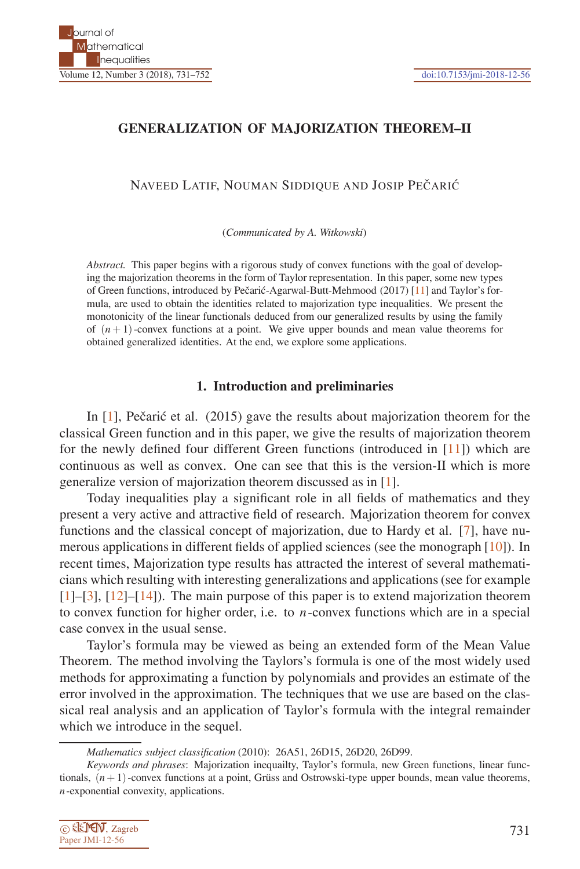# **GENERALIZATION OF MAJORIZATION THEOREM–II**

NAVEED LATIF, NOUMAN SIDDIQUE AND JOSIP PEČARIĆ

(*Communicated by A. Witkowski*)

*Abstract.* This paper begins with a rigorous study of convex functions with the goal of developing the majorization theorems in the form of Taylor representation. In this paper, some new types of Green functions, introduced by Pečarić-Agarwal-Butt-Mehmood (2017) [11] and Taylor's formula, are used to obtain the identities related to majorization type inequalities. We present the monotonicity of the linear functionals deduced from our generalized results by using the family of  $(n+1)$ -convex functions at a point. We give upper bounds and mean value theorems for obtained generalized identities. At the end, we explore some applications.

#### **1. Introduction and preliminaries**

In  $[1]$ , Pečarić et al. (2015) gave the results about majorization theorem for the classical Green function and in this paper, we give the results of majorization theorem for the newly defined four different Green functions (introduced in [11]) which are continuous as well as convex. One can see that this is the version-II which is more generalize version of majorization theorem discussed as in [1].

Today inequalities play a significant role in all fields of mathematics and they present a very active and attractive field of research. Majorization theorem for convex functions and the classical concept of majorization, due to Hardy et al. [7], have numerous applications in different fields of applied sciences (see the monograph [10]). In recent times, Majorization type results has attracted the interest of several mathematicians which resulting with interesting generalizations and applications (see for example [1]–[3], [12]–[14]). The main purpose of this paper is to extend majorization theorem to convex function for higher order, i.e. to *n*-convex functions which are in a special case convex in the usual sense.

Taylor's formula may be viewed as being an extended form of the Mean Value Theorem. The method involving the Taylors's formula is one of the most widely used methods for approximating a function by polynomials and provides an estimate of the error involved in the approximation. The techniques that we use are based on the classical real analysis and an application of Taylor's formula with the integral remainder which we introduce in the sequel.

*Keywords and phrases*: Majorization inequailty, Taylor's formula, new Green functions, linear functionals,  $(n+1)$ -convex functions at a point, Grüss and Ostrowski-type upper bounds, mean value theorems, *n*-exponential convexity, applications.



*Mathematics subject classification* (2010): 26A51, 26D15, 26D20, 26D99.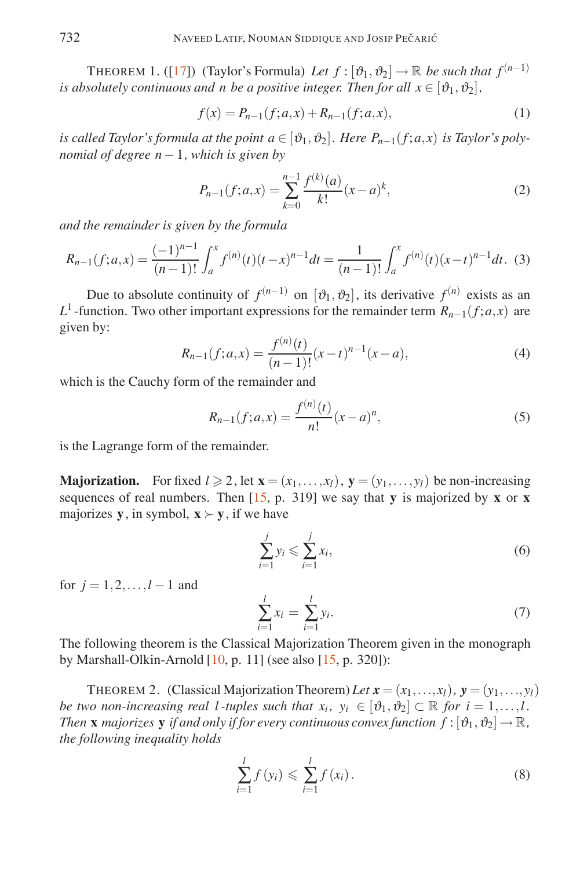THEOREM 1. ([17]) (Taylor's Formula) Let  $f : [\vartheta_1, \vartheta_2] \to \mathbb{R}$  be such that  $f^{(n-1)}$ *is absolutely continuous and n be a positive integer. Then for all*  $x \in [\vartheta_1, \vartheta_2]$ ,

$$
f(x) = P_{n-1}(f; a, x) + R_{n-1}(f; a, x),
$$
\n(1)

*is called Taylor's formula at the point*  $a \in [\vartheta_1, \vartheta_2]$ *. Here*  $P_{n-1}(f; a, x)$  *is Taylor's polynomial of degree n*−1*, which is given by*

$$
P_{n-1}(f;a,x) = \sum_{k=0}^{n-1} \frac{f^{(k)}(a)}{k!} (x-a)^k,
$$
\n(2)

*and the remainder is given by the formula*

$$
R_{n-1}(f;a,x) = \frac{(-1)^{n-1}}{(n-1)!} \int_a^x f^{(n)}(t)(t-x)^{n-1} dt = \frac{1}{(n-1)!} \int_a^x f^{(n)}(t)(x-t)^{n-1} dt.
$$
 (3)

Due to absolute continuity of  $f^{(n-1)}$  on  $[\vartheta_1, \vartheta_2]$ , its derivative  $f^{(n)}$  exists as an *L*<sup>1</sup> -function. Two other important expressions for the remainder term  $R_{n-1}(f; a, x)$  are given by:

$$
R_{n-1}(f;a,x) = \frac{f^{(n)}(t)}{(n-1)!}(x-t)^{n-1}(x-a),
$$
\n(4)

which is the Cauchy form of the remainder and

$$
R_{n-1}(f;a,x) = \frac{f^{(n)}(t)}{n!}(x-a)^n,
$$
\n(5)

is the Lagrange form of the remainder.

**Majorization.** For fixed  $l \ge 2$ , let  $\mathbf{x} = (x_1, \ldots, x_l)$ ,  $\mathbf{y} = (y_1, \ldots, y_l)$  be non-increasing sequences of real numbers. Then [15, p. 319] we say that **y** is majorized by **x** or **x** majorizes **y**, in symbol,  $\mathbf{x} \succ \mathbf{y}$ , if we have

$$
\sum_{i=1}^{j} y_i \leqslant \sum_{i=1}^{j} x_i,\tag{6}
$$

for  $j = 1, 2, ..., l - 1$  and

$$
\sum_{i=1}^{l} x_i = \sum_{i=1}^{l} y_i.
$$
 (7)

The following theorem is the Classical Majorization Theorem given in the monograph by Marshall-Olkin-Arnold [10, p. 11] (see also [15, p. 320]):

THEOREM 2. (Classical Majorization Theorem) Let  $\mathbf{x} = (x_1, \ldots, x_l)$ ,  $\mathbf{y} = (y_1, \ldots, y_l)$ *be two non-increasing real l-tuples such that*  $x_i$ *,*  $y_i \in [\vartheta_1, \vartheta_2] \subset \mathbb{R}$  *for*  $i = 1, ..., l$ *. Then* **x** *majorizes* **y** *if and only if for every continuous convex function*  $f : [\vartheta_1, \vartheta_2] \to \mathbb{R}$ , *the following inequality holds*

$$
\sum_{i=1}^{l} f(y_i) \leq \sum_{i=1}^{l} f(x_i).
$$
 (8)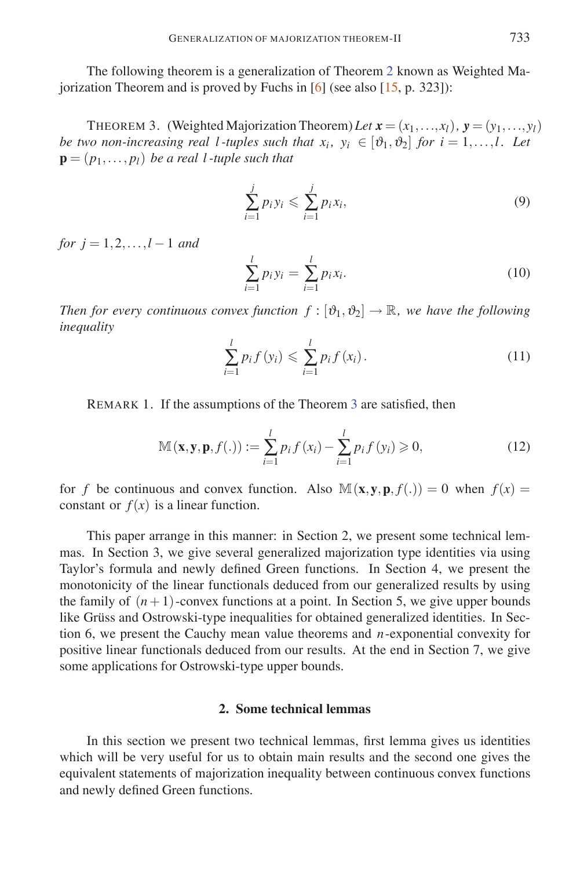The following theorem is a generalization of Theorem 2 known as Weighted Majorization Theorem and is proved by Fuchs in  $[6]$  (see also  $[15, p. 323]$ ):

THEOREM 3. (Weighted Majorization Theorem) Let  $\mathbf{x} = (x_1, \ldots, x_l)$ ,  $\mathbf{y} = (y_1, \ldots, y_l)$ *be two non-increasing real l-tuples such that*  $x_i$ *,*  $y_i \in [\vartheta_1, \vartheta_2]$  *for*  $i = 1, \ldots, l$ *. Let*  $\mathbf{p} = (p_1, \ldots, p_l)$  *be a real l-tuple such that* 

$$
\sum_{i=1}^{j} p_i y_i \leqslant \sum_{i=1}^{j} p_i x_i,
$$
\n<sup>(9)</sup>

*for*  $i = 1, 2, ..., l - 1$  *and* 

$$
\sum_{i=1}^{l} p_i y_i = \sum_{i=1}^{l} p_i x_i.
$$
 (10)

*Then for every continuous convex function*  $f : [\vartheta_1, \vartheta_2] \to \mathbb{R}$ , we have the following *inequality*

$$
\sum_{i=1}^{l} p_i f(y_i) \leq \sum_{i=1}^{l} p_i f(x_i).
$$
 (11)

REMARK 1. If the assumptions of the Theorem 3 are satisfied, then

$$
\mathbb{M}(\mathbf{x}, \mathbf{y}, \mathbf{p}, f(.)) := \sum_{i=1}^{l} p_i f(x_i) - \sum_{i=1}^{l} p_i f(y_i) \geqslant 0,
$$
\n(12)

for *f* be continuous and convex function. Also  $\mathbb{M}(\mathbf{x}, \mathbf{y}, \mathbf{p}, f(.) = 0$  when  $f(x) =$ constant or  $f(x)$  is a linear function.

This paper arrange in this manner: in Section 2, we present some technical lemmas. In Section 3, we give several generalized majorization type identities via using Taylor's formula and newly defined Green functions. In Section 4, we present the monotonicity of the linear functionals deduced from our generalized results by using the family of  $(n+1)$ -convex functions at a point. In Section 5, we give upper bounds like Grüss and Ostrowski-type inequalities for obtained generalized identities. In Section 6, we present the Cauchy mean value theorems and *n*-exponential convexity for positive linear functionals deduced from our results. At the end in Section 7, we give some applications for Ostrowski-type upper bounds.

### **2. Some technical lemmas**

In this section we present two technical lemmas, first lemma gives us identities which will be very useful for us to obtain main results and the second one gives the equivalent statements of majorization inequality between continuous convex functions and newly defined Green functions.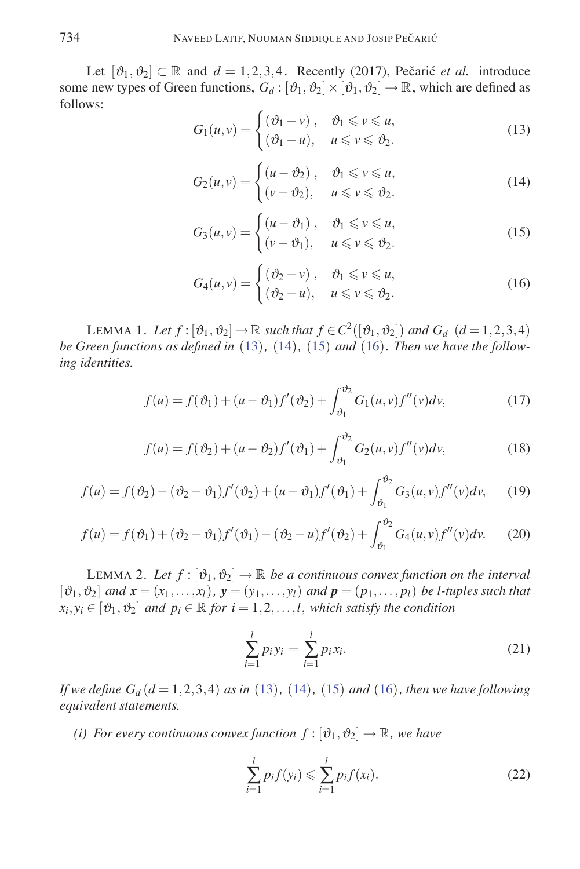Let  $[\vartheta_1, \vartheta_2] \subset \mathbb{R}$  and  $d = 1, 2, 3, 4$ . Recently (2017), Pečarić *et al.* introduce some new types of Green functions,  $G_d : [\vartheta_1, \vartheta_2] \times [\vartheta_1, \vartheta_2] \to \mathbb{R}$ , which are defined as follows:

$$
G_1(u,v) = \begin{cases} (\vartheta_1 - v), & \vartheta_1 \le v \le u, \\ (\vartheta_1 - u), & u \le v \le \vartheta_2. \end{cases}
$$
 (13)

$$
G_2(u,v) = \begin{cases} (u - \vartheta_2), & \vartheta_1 \le v \le u, \\ (v - \vartheta_2), & u \le v \le \vartheta_2. \end{cases}
$$
 (14)

$$
G_3(u,v) = \begin{cases} (u - \vartheta_1), & \vartheta_1 \le v \le u, \\ (v - \vartheta_1), & u \le v \le \vartheta_2. \end{cases}
$$
 (15)

$$
G_4(u,v) = \begin{cases} (\vartheta_2 - v), & \vartheta_1 \le v \le u, \\ (\vartheta_2 - u), & u \le v \le \vartheta_2. \end{cases}
$$
 (16)

LEMMA 1. Let  $f : [\vartheta_1, \vartheta_2] \to \mathbb{R}$  *such that*  $f \in C^2([\vartheta_1, \vartheta_2])$  *and*  $G_d$  ( $d = 1, 2, 3, 4$ ) *be Green functions as defined in* (13)*,* (14)*,* (15) *and* (16)*. Then we have the following identities.*

$$
f(u) = f(\vartheta_1) + (u - \vartheta_1) f'(\vartheta_2) + \int_{\vartheta_1}^{\vartheta_2} G_1(u, v) f''(v) dv,
$$
 (17)

$$
f(u) = f(\vartheta_2) + (u - \vartheta_2) f'(\vartheta_1) + \int_{\vartheta_1}^{\vartheta_2} G_2(u, v) f''(v) dv,
$$
 (18)

$$
f(u) = f(\vartheta_2) - (\vartheta_2 - \vartheta_1) f'(\vartheta_2) + (u - \vartheta_1) f'(\vartheta_1) + \int_{\vartheta_1}^{\vartheta_2} G_3(u, v) f''(v) dv,
$$
 (19)

$$
f(u) = f(\vartheta_1) + (\vartheta_2 - \vartheta_1) f'(\vartheta_1) - (\vartheta_2 - u) f'(\vartheta_2) + \int_{\vartheta_1}^{\vartheta_2} G_4(u, v) f''(v) dv.
$$
 (20)

LEMMA 2. Let  $f : [\vartheta_1, \vartheta_2] \to \mathbb{R}$  be a continuous convex function on the interval  $[\vartheta_1, \vartheta_2]$  *and*  $\mathbf{x} = (x_1, \ldots, x_l)$ ,  $\mathbf{y} = (y_1, \ldots, y_l)$  *and*  $\mathbf{p} = (p_1, \ldots, p_l)$  *be l-tuples such that*  $x_i, y_i \in [\vartheta_1, \vartheta_2]$  *and*  $p_i \in \mathbb{R}$  *for*  $i = 1, 2, \ldots, l$ *, which satisfy the condition* 

$$
\sum_{i=1}^{l} p_i y_i = \sum_{i=1}^{l} p_i x_i.
$$
 (21)

*If we define*  $G_d$  ( $d = 1, 2, 3, 4$ ) *as in* (13)*,* (14)*,* (15) *and* (16)*, then we have following equivalent statements.*

*(i) For every continuous convex function*  $f : [\vartheta_1, \vartheta_2] \to \mathbb{R}$ *, we have* 

$$
\sum_{i=1}^{l} p_i f(y_i) \leq \sum_{i=1}^{l} p_i f(x_i).
$$
 (22)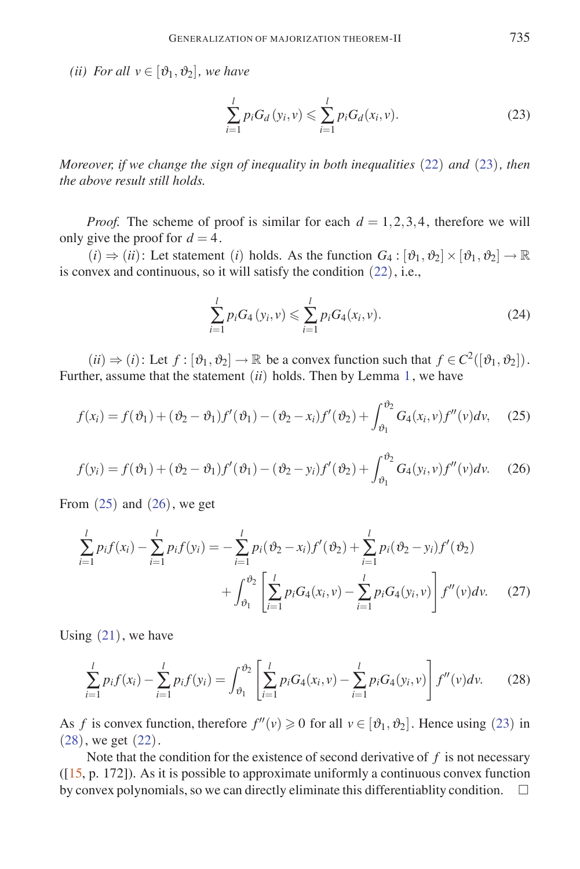*(ii)* For all  $v \in [\vartheta_1, \vartheta_2]$ , we have

$$
\sum_{i=1}^{l} p_i G_d(y_i, v) \leq \sum_{i=1}^{l} p_i G_d(x_i, v).
$$
 (23)

*Moreover, if we change the sign of inequality in both inequalities* (22) *and* (23)*, then the above result still holds.*

*Proof.* The scheme of proof is similar for each  $d = 1,2,3,4$ , therefore we will only give the proof for  $d = 4$ .

 $(i) \Rightarrow (ii)$ : Let statement (*i*) holds. As the function  $G_4 : [\vartheta_1, \vartheta_2] \times [\vartheta_1, \vartheta_2] \rightarrow \mathbb{R}$ is convex and continuous, so it will satisfy the condition (22), i.e.,

$$
\sum_{i=1}^{l} p_i G_4(y_i, v) \leq \sum_{i=1}^{l} p_i G_4(x_i, v).
$$
 (24)

 $(ii) \Rightarrow (i):$  Let  $f : [\vartheta_1, \vartheta_2] \rightarrow \mathbb{R}$  be a convex function such that  $f \in C^2([\vartheta_1, \vartheta_2])$ . Further, assume that the statement (*ii*) holds. Then by Lemma 1, we have

$$
f(x_i) = f(\vartheta_1) + (\vartheta_2 - \vartheta_1) f'(\vartheta_1) - (\vartheta_2 - x_i) f'(\vartheta_2) + \int_{\vartheta_1}^{\vartheta_2} G_4(x_i, v) f''(v) dv,
$$
 (25)

$$
f(y_i) = f(\vartheta_1) + (\vartheta_2 - \vartheta_1) f'(\vartheta_1) - (\vartheta_2 - y_i) f'(\vartheta_2) + \int_{\vartheta_1}^{\vartheta_2} G_4(y_i, v) f''(v) dv.
$$
 (26)

From  $(25)$  and  $(26)$ , we get

$$
\sum_{i=1}^{l} p_i f(x_i) - \sum_{i=1}^{l} p_i f(y_i) = -\sum_{i=1}^{l} p_i (\vartheta_2 - x_i) f'(\vartheta_2) + \sum_{i=1}^{l} p_i (\vartheta_2 - y_i) f'(\vartheta_2)
$$

$$
+ \int_{\vartheta_1}^{\vartheta_2} \left[ \sum_{i=1}^{l} p_i G_4(x_i, v) - \sum_{i=1}^{l} p_i G_4(y_i, v) \right] f''(v) dv. \quad (27)
$$

Using  $(21)$ , we have

$$
\sum_{i=1}^{l} p_i f(x_i) - \sum_{i=1}^{l} p_i f(y_i) = \int_{\vartheta_1}^{\vartheta_2} \left[ \sum_{i=1}^{l} p_i G_4(x_i, v) - \sum_{i=1}^{l} p_i G_4(y_i, v) \right] f''(v) dv.
$$
 (28)

As *f* is convex function, therefore  $f''(v) \ge 0$  for all  $v \in [\vartheta_1, \vartheta_2]$ . Hence using (23) in (28), we get (22).

Note that the condition for the existence of second derivative of  $f$  is not necessary  $([15, p. 172])$ . As it is possible to approximate uniformly a continuous convex function by convex polynomials, so we can directly eliminate this differentiablity condition.  $\Box$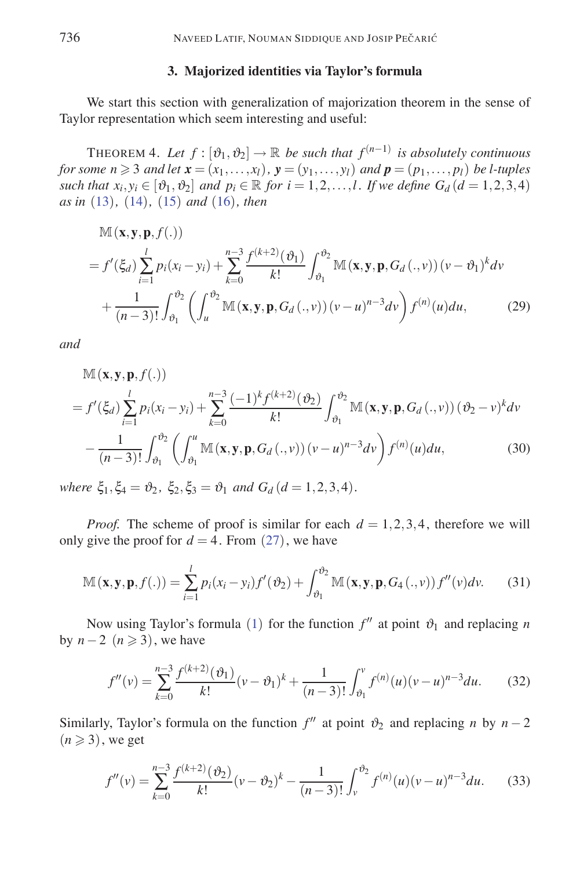## **3. Majorized identities via Taylor's formula**

We start this section with generalization of majorization theorem in the sense of Taylor representation which seem interesting and useful:

THEOREM 4. Let  $f : [\vartheta_1, \vartheta_2] \to \mathbb{R}$  be such that  $f^{(n-1)}$  is absolutely continuous *for some*  $n \geq 3$  *and let*  $\mathbf{x} = (x_1, \ldots, x_l)$ ,  $\mathbf{y} = (y_1, \ldots, y_l)$  *and*  $\mathbf{p} = (p_1, \ldots, p_l)$  *be l-tuples such that*  $x_i, y_i \in [\vartheta_1, \vartheta_2]$  *and*  $p_i \in \mathbb{R}$  *for*  $i = 1, 2, \ldots, l$ *. If we define*  $G_d$  $(d = 1, 2, 3, 4)$ *as in* (13)*,* (14)*,* (15) *and* (16)*, then*

$$
\mathbb{M}(\mathbf{x}, \mathbf{y}, \mathbf{p}, f(.))
$$
\n
$$
= f'(\xi_d) \sum_{i=1}^l p_i(x_i - y_i) + \sum_{k=0}^{n-3} \frac{f^{(k+2)}(\vartheta_1)}{k!} \int_{\vartheta_1}^{\vartheta_2} \mathbb{M}(\mathbf{x}, \mathbf{y}, \mathbf{p}, G_d(., v)) (v - \vartheta_1)^k dv
$$
\n
$$
+ \frac{1}{(n-3)!} \int_{\vartheta_1}^{\vartheta_2} \left( \int_u^{\vartheta_2} \mathbb{M}(\mathbf{x}, \mathbf{y}, \mathbf{p}, G_d(., v)) (v - u)^{n-3} dv \right) f^{(n)}(u) du,
$$
\n(29)

*and*

$$
\mathbb{M}(\mathbf{x}, \mathbf{y}, \mathbf{p}, f(.))
$$
\n
$$
= f'(\xi_d) \sum_{i=1}^l p_i(x_i - y_i) + \sum_{k=0}^{n-3} \frac{(-1)^k f^{(k+2)}(\vartheta_2)}{k!} \int_{\vartheta_1}^{\vartheta_2} \mathbb{M}(\mathbf{x}, \mathbf{y}, \mathbf{p}, G_d(., v)) (\vartheta_2 - v)^k dv
$$
\n
$$
- \frac{1}{(n-3)!} \int_{\vartheta_1}^{\vartheta_2} \left( \int_{\vartheta_1}^u \mathbb{M}(\mathbf{x}, \mathbf{y}, \mathbf{p}, G_d(., v)) (v - u)^{n-3} dv \right) f^{(n)}(u) du,
$$
\n(30)

*where*  $\xi_1, \xi_4 = \vartheta_2, \xi_2, \xi_3 = \vartheta_1$  *and*  $G_d$  (*d* = 1*,*2*,*3*,4*)*.* 

*Proof.* The scheme of proof is similar for each  $d = 1,2,3,4$ , therefore we will only give the proof for  $d = 4$ . From (27), we have

$$
\mathbb{M}(\mathbf{x}, \mathbf{y}, \mathbf{p}, f(.)) = \sum_{i=1}^{l} p_i(x_i - y_i) f'(\vartheta_2) + \int_{\vartheta_1}^{\vartheta_2} \mathbb{M}(\mathbf{x}, \mathbf{y}, \mathbf{p}, G_4(., v)) f''(v) dv.
$$
 (31)

Now using Taylor's formula (1) for the function  $f''$  at point  $\vartheta_1$  and replacing *n* by  $n-2$  ( $n \ge 3$ ), we have

$$
f''(v) = \sum_{k=0}^{n-3} \frac{f^{(k+2)}(\vartheta_1)}{k!} (v - \vartheta_1)^k + \frac{1}{(n-3)!} \int_{\vartheta_1}^v f^{(n)}(u) (v - u)^{n-3} du.
$$
 (32)

Similarly, Taylor's formula on the function  $f''$  at point  $\vartheta_2$  and replacing *n* by  $n-2$  $(n \geqslant 3)$ , we get

$$
f''(v) = \sum_{k=0}^{n-3} \frac{f^{(k+2)}(\vartheta_2)}{k!} (v - \vartheta_2)^k - \frac{1}{(n-3)!} \int_v^{\vartheta_2} f^{(n)}(u) (v - u)^{n-3} du.
$$
 (33)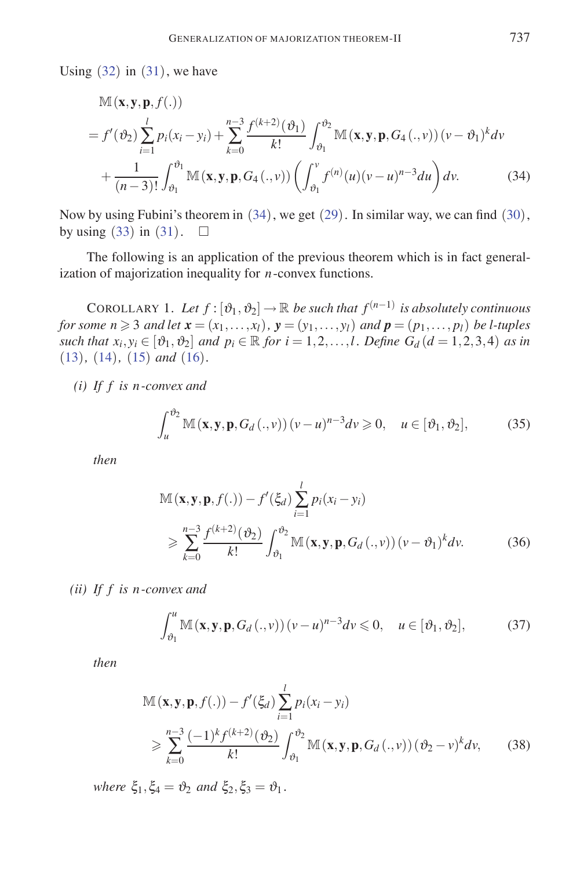Using  $(32)$  in  $(31)$ , we have

$$
\mathbb{M}(\mathbf{x}, \mathbf{y}, \mathbf{p}, f(.))
$$
\n
$$
= f'(\vartheta_2) \sum_{i=1}^{l} p_i(x_i - y_i) + \sum_{k=0}^{n-3} \frac{f^{(k+2)}(\vartheta_1)}{k!} \int_{\vartheta_1}^{\vartheta_2} \mathbb{M}(\mathbf{x}, \mathbf{y}, \mathbf{p}, G_4(., v)) (v - \vartheta_1)^k dv
$$
\n
$$
+ \frac{1}{(n-3)!} \int_{\vartheta_1}^{\vartheta_1} \mathbb{M}(\mathbf{x}, \mathbf{y}, \mathbf{p}, G_4(., v)) \left( \int_{\vartheta_1}^{v} f^{(n)}(u) (v - u)^{n-3} du \right) dv.
$$
\n(34)

Now by using Fubini's theorem in (34), we get (29). In similar way, we can find (30), by using (33) in (31).  $\square$ 

The following is an application of the previous theorem which is in fact generalization of majorization inequality for *n*-convex functions.

COROLLARY 1. Let  $f : [\vartheta_1, \vartheta_2] \to \mathbb{R}$  be such that  $f^{(n-1)}$  is absolutely continuous *for some*  $n \geq 3$  *and let*  $\mathbf{x} = (x_1, \ldots, x_l)$ ,  $\mathbf{y} = (y_1, \ldots, y_l)$  *and*  $\mathbf{p} = (p_1, \ldots, p_l)$  *be l-tuples such that*  $x_i, y_i \in [\vartheta_1, \vartheta_2]$  *and*  $p_i \in \mathbb{R}$  *for*  $i = 1, 2, ..., l$ *. Define*  $G_d$  *(* $d = 1, 2, 3, 4$ *) as in* (13)*,* (14)*,* (15) *and* (16)*.*

*(i) If f is n -convex and*

$$
\int_{u}^{\vartheta_2} \mathbb{M}(\mathbf{x}, \mathbf{y}, \mathbf{p}, G_d(.,\nu)) (v - u)^{n-3} dv \ge 0, \quad u \in [\vartheta_1, \vartheta_2],
$$
 (35)

*then*

$$
\mathbb{M}(\mathbf{x}, \mathbf{y}, \mathbf{p}, f(.)) - f'(\xi_d) \sum_{i=1}^{l} p_i(x_i - y_i)
$$
  
\n
$$
\geqslant \sum_{k=0}^{n-3} \frac{f^{(k+2)}(\vartheta_2)}{k!} \int_{\vartheta_1}^{\vartheta_2} \mathbb{M}(\mathbf{x}, \mathbf{y}, \mathbf{p}, G_d(., v)) (v - \vartheta_1)^k dv.
$$
 (36)

*(ii) If f is n -convex and*

$$
\int_{\vartheta_1}^{u} \mathbb{M}(\mathbf{x}, \mathbf{y}, \mathbf{p}, G_d(.,\nu)) (v - u)^{n-3} dv \leq 0, \quad u \in [\vartheta_1, \vartheta_2],
$$
 (37)

*then*

$$
\mathbb{M}(\mathbf{x}, \mathbf{y}, \mathbf{p}, f(.)) - f'(\xi_d) \sum_{i=1}^l p_i(x_i - y_i)
$$
  
\n
$$
\geqslant \sum_{k=0}^{n-3} \frac{(-1)^k f^{(k+2)}(\vartheta_2)}{k!} \int_{\vartheta_1}^{\vartheta_2} \mathbb{M}(\mathbf{x}, \mathbf{y}, \mathbf{p}, G_d(., v)) (\vartheta_2 - v)^k dv,
$$
 (38)

*where*  $\xi_1, \xi_4 = \vartheta_2$  *and*  $\xi_2, \xi_3 = \vartheta_1$ *.*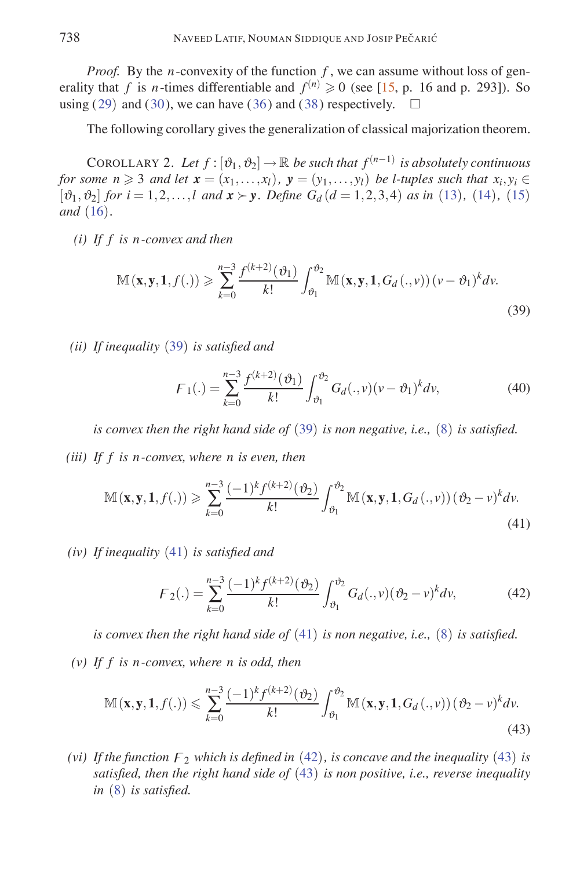*Proof.* By the *n*-convexity of the function *f*, we can assume without loss of generality that *f* is *n*-times differentiable and  $f^{(n)} \ge 0$  (see [15, p. 16 and p. 293]). So using  $(29)$  and  $(30)$ , we can have  $(36)$  and  $(38)$  respectively.

The following corollary gives the generalization of classical majorization theorem.

COROLLARY 2. Let  $f : [\vartheta_1, \vartheta_2] \to \mathbb{R}$  be such that  $f^{(n-1)}$  is absolutely continuous *for some n*  $\geq$  3 *and let*  $\mathbf{x} = (x_1, \ldots, x_l)$ ,  $\mathbf{y} = (y_1, \ldots, y_l)$  *be l-tuples such that*  $x_i, y_i \in$  $[\vartheta_1, \vartheta_2]$  *for*  $i = 1, 2, ..., l$  *and*  $\mathbf{x} \succ \mathbf{y}$ *. Define*  $G_d$  ( $d = 1, 2, 3, 4$ ) *as in* (13)*,* (14)*,* (15) *and* (16)*.*

*(i) If f is n -convex and then*

$$
\mathbb{M}(\mathbf{x}, \mathbf{y}, \mathbf{1}, f(.)) \geqslant \sum_{k=0}^{n-3} \frac{f^{(k+2)}(\vartheta_1)}{k!} \int_{\vartheta_1}^{\vartheta_2} \mathbb{M}(\mathbf{x}, \mathbf{y}, \mathbf{1}, G_d(.,\nu)) \left(\nu - \vartheta_1\right)^k dv.
$$
\n(39)

*(ii) If inequality* (39) *is satisfied and*

$$
F_1(.) = \sum_{k=0}^{n-3} \frac{f^{(k+2)}(\vartheta_1)}{k!} \int_{\vartheta_1}^{\vartheta_2} G_d(.,v) (v - \vartheta_1)^k dv,
$$
 (40)

*is convex then the right hand side of* (39) *is non negative, i.e.,* (8) *is satisfied.*

*(iii) If f is n -convex, where n is even, then*

$$
\mathbb{M}(\mathbf{x}, \mathbf{y}, \mathbf{1}, f(.)) \geqslant \sum_{k=0}^{n-3} \frac{(-1)^k f^{(k+2)}(\vartheta_2)}{k!} \int_{\vartheta_1}^{\vartheta_2} \mathbb{M}(\mathbf{x}, \mathbf{y}, \mathbf{1}, G_d(.,\nu)) (\vartheta_2 - \nu)^k d\nu.
$$
\n(41)

*(iv) If inequality* (41) *is satisfied and*

$$
F_2(.) = \sum_{k=0}^{n-3} \frac{(-1)^k f^{(k+2)}(\vartheta_2)}{k!} \int_{\vartheta_1}^{\vartheta_2} G_d(.,v) (\vartheta_2 - v)^k dv,
$$
 (42)

*is convex then the right hand side of* (41) *is non negative, i.e.,* (8) *is satisfied. (v) If f is n -convex, where n is odd, then*

$$
\mathbb{M}(\mathbf{x}, \mathbf{y}, \mathbf{1}, f(.)) \leqslant \sum_{k=0}^{n-3} \frac{(-1)^k f^{(k+2)}(\vartheta_2)}{k!} \int_{\vartheta_1}^{\vartheta_2} \mathbb{M}(\mathbf{x}, \mathbf{y}, \mathbf{1}, G_d(., v)) (\vartheta_2 - v)^k dv. \tag{43}
$$

*(vi)* If the function  $F_2$  which is defined in (42), is concave and the inequality (43) is *satisfied, then the right hand side of* (43) *is non positive, i.e., reverse inequality in* (8) *is satisfied.*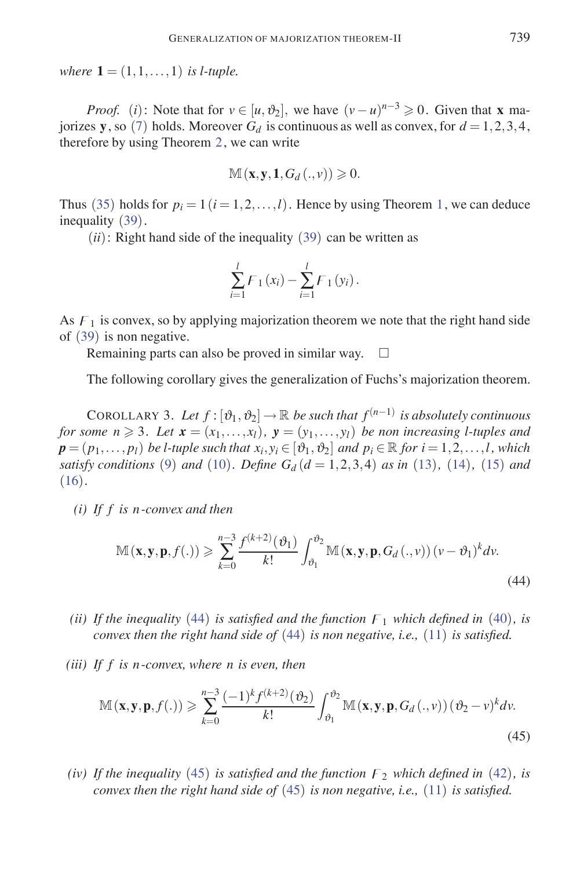*where*  $1 = (1, 1, \ldots, 1)$  *is l-tuple.* 

*Proof.* (*i*): Note that for  $v \in [u, \vartheta_2]$ , we have  $(v - u)^{n-3} \ge 0$ . Given that **x** majorizes **y**, so (7) holds. Moreover  $G_d$  is continuous as well as convex, for  $d = 1, 2, 3, 4$ , therefore by using Theorem 2, we can write

$$
\mathbb{M} \left( \mathbf{x}, \mathbf{y}, \mathbf{1}, G_d \left( ., v \right) \right) \geqslant 0.
$$

Thus (35) holds for  $p_i = 1$   $(i = 1, 2, \ldots, l)$ . Hence by using Theorem 1, we can deduce inequality (39).

 $(ii)$ : Right hand side of the inequality (39) can be written as

$$
\sum_{i=1}^{l} F_1(x_i) - \sum_{i=1}^{l} F_1(y_i).
$$

As  $F_1$  is convex, so by applying majorization theorem we note that the right hand side of (39) is non negative.

Remaining parts can also be proved in similar way.  $\square$ 

The following corollary gives the generalization of Fuchs's majorization theorem.

COROLLARY 3. Let  $f : [\vartheta_1, \vartheta_2] \to \mathbb{R}$  be such that  $f^{(n-1)}$  is absolutely continuous *for some n*  $\geq$  3*. Let*  $\mathbf{x} = (x_1, \ldots, x_l)$ ,  $\mathbf{y} = (y_1, \ldots, y_l)$  *be non increasing l-tuples and*  $p = (p_1, \ldots, p_l)$  *be l-tuple such that*  $x_i, y_i \in [\vartheta_1, \vartheta_2]$  *and*  $p_i \in \mathbb{R}$  *for*  $i = 1, 2, \ldots, l$ *, which satisfy conditions* (9) *and* (10)*. Define*  $G_d$  ( $d = 1, 2, 3, 4$ ) *as in* (13)*,* (14)*,* (15) *and* (16)*.*

*(i) If f is n -convex and then*

$$
\mathbb{M}(\mathbf{x}, \mathbf{y}, \mathbf{p}, f(.)) \geqslant \sum_{k=0}^{n-3} \frac{f^{(k+2)}(\vartheta_1)}{k!} \int_{\vartheta_1}^{\vartheta_2} \mathbb{M}(\mathbf{x}, \mathbf{y}, \mathbf{p}, G_d(.,\nu)) (v - \vartheta_1)^k dv.
$$
\n(44)

- (*ii*) If the inequality (44) is satisfied and the function  $F_1$  which defined in (40), is *convex then the right hand side of* (44) *is non negative, i.e.,* (11) *is satisfied.*
- *(iii) If f is n -convex, where n is even, then*

$$
\mathbb{M}(\mathbf{x}, \mathbf{y}, \mathbf{p}, f(.)) \geqslant \sum_{k=0}^{n-3} \frac{(-1)^k f^{(k+2)}(\vartheta_2)}{k!} \int_{\vartheta_1}^{\vartheta_2} \mathbb{M}(\mathbf{x}, \mathbf{y}, \mathbf{p}, G_d(., v)) (\vartheta_2 - v)^k dv.
$$
\n(45)

*(iv)* If the inequality (45) is satisfied and the function  $F_2$  which defined in (42), is *convex then the right hand side of* (45) *is non negative, i.e.,* (11) *is satisfied.*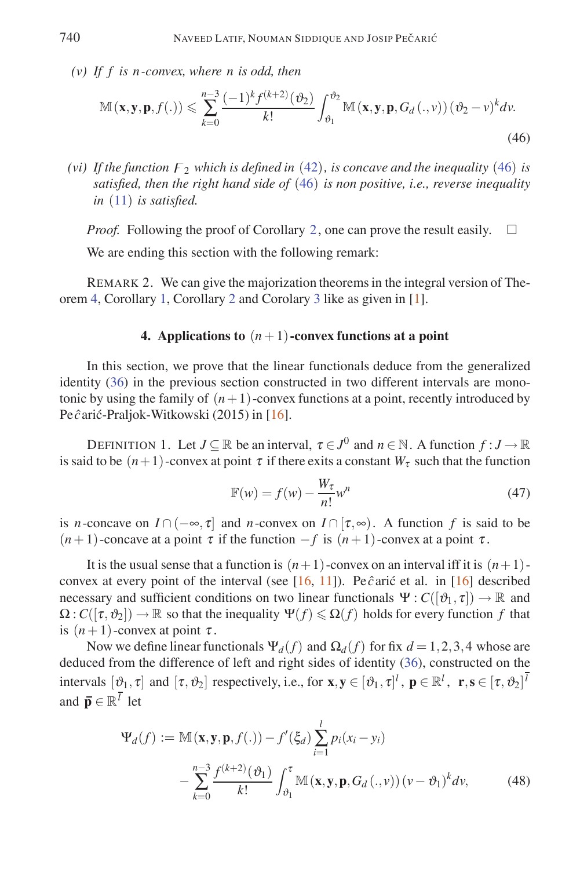*(v) If f is n -convex, where n is odd, then*

$$
\mathbb{M}(\mathbf{x}, \mathbf{y}, \mathbf{p}, f(.)) \leqslant \sum_{k=0}^{n-3} \frac{(-1)^k f^{(k+2)}(\vartheta_2)}{k!} \int_{\vartheta_1}^{\vartheta_2} \mathbb{M}(\mathbf{x}, \mathbf{y}, \mathbf{p}, G_d(., v)) (\vartheta_2 - v)^k dv.
$$
\n(46)

*(vi)* If the function  $F_2$  which is defined in (42), is concave and the inequality (46) is *satisfied, then the right hand side of* (46) *is non positive, i.e., reverse inequality in* (11) *is satisfied.*

*Proof.* Following the proof of Corollary 2, one can prove the result easily.  $\square$ 

We are ending this section with the following remark:

REMARK 2. We can give the majorization theorems in the integral version of Theorem 4, Corollary 1, Corollary 2 and Corolary 3 like as given in [1].

## **4.** Applications to  $(n+1)$ -convex functions at a point

In this section, we prove that the linear functionals deduce from the generalized identity (36) in the previous section constructed in two different intervals are monotonic by using the family of  $(n+1)$ -convex functions at a point, recently introduced by Pe  $\hat{c}$ arić-Praljok-Witkowski (2015) in [16].

DEFINITION 1. Let  $J \subseteq \mathbb{R}$  be an interval,  $\tau \in J^0$  and  $n \in \mathbb{N}$ . A function  $f : J \to \mathbb{R}$ is said to be  $(n+1)$ -convex at point  $\tau$  if there exits a constant  $W_{\tau}$  such that the function

$$
\mathbb{F}(w) = f(w) - \frac{W_{\tau}}{n!} w^n \tag{47}
$$

is *n*-concave on  $I \cap (-\infty, \tau]$  and *n*-convex on  $I \cap [\tau, \infty)$ . A function f is said to be ( $n+1$ )-concave at a point  $\tau$  if the function  $-f$  is  $(n+1)$ -convex at a point  $\tau$ .

It is the usual sense that a function is  $(n+1)$ -convex on an interval iff it is  $(n+1)$ convex at every point of the interval (see [16, 11]). Pe $\hat{c}$ aric et al. in [16] described necessary and sufficient conditions on two linear functionals  $\Psi: C([\vartheta_1, \tau]) \to \mathbb{R}$  and  $\Omega: C([\tau, \vartheta_2]) \to \mathbb{R}$  so that the inequality  $\Psi(f) \leq \Omega(f)$  holds for every function f that is  $(n+1)$ -convex at point  $\tau$ .

Now we define linear functionals  $\Psi_d(f)$  and  $\Omega_d(f)$  for fix  $d = 1, 2, 3, 4$  whose are deduced from the difference of left and right sides of identity (36), constructed on the intervals  $[\theta_1, \tau]$  and  $[\tau, \theta_2]$  respectively, i.e., for  $\mathbf{x}, \mathbf{y} \in [\theta_1, \tau]^l$ ,  $\mathbf{p} \in \mathbb{R}^l$ ,  $\mathbf{r}, \mathbf{s} \in [\tau, \theta_2]^l$ and  $\overline{\mathbf{p}} \in \mathbb{R}^{\overline{l}}$  let

$$
\Psi_d(f) := \mathbb{M}(\mathbf{x}, \mathbf{y}, \mathbf{p}, f(.)) - f'(\xi_d) \sum_{i=1}^l p_i(x_i - y_i)
$$

$$
- \sum_{k=0}^{n-3} \frac{f^{(k+2)}(\vartheta_1)}{k!} \int_{\vartheta_1}^{\tau} \mathbb{M}(\mathbf{x}, \mathbf{y}, \mathbf{p}, G_d(.,\nu)) (v - \vartheta_1)^k dv,
$$
(48)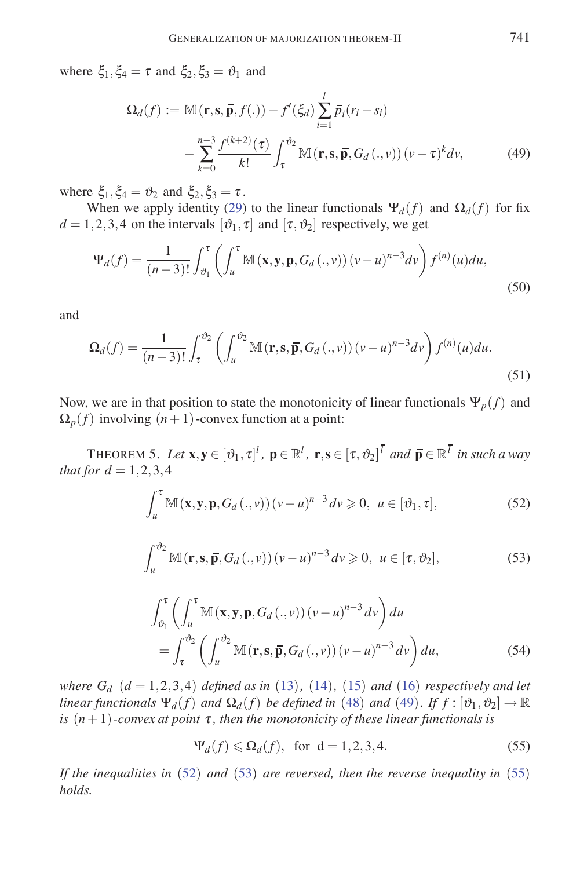where  $\xi_1, \xi_4 = \tau$  and  $\xi_2, \xi_3 = \vartheta_1$  and

$$
\Omega_d(f) := \mathbb{M}(\mathbf{r}, \mathbf{s}, \overline{\mathbf{p}}, f(.)) - f'(\xi_d) \sum_{i=1}^l \overline{p}_i (r_i - s_i)
$$

$$
- \sum_{k=0}^{n-3} \frac{f^{(k+2)}(\tau)}{k!} \int_{\tau}^{\vartheta_2} \mathbb{M}(\mathbf{r}, \mathbf{s}, \overline{\mathbf{p}}, G_d(.,\nu)) (v - \tau)^k dv,
$$
(49)

where  $\xi_1, \xi_4 = \vartheta_2$  and  $\xi_2, \xi_3 = \tau$ .

When we apply identity (29) to the linear functionals  $\Psi_d(f)$  and  $\Omega_d(f)$  for fix  $d = 1, 2, 3, 4$  on the intervals  $[\vartheta_1, \tau]$  and  $[\tau, \vartheta_2]$  respectively, we get

$$
\Psi_d(f) = \frac{1}{(n-3)!} \int_{\vartheta_1}^{\tau} \left( \int_u^{\tau} \mathbb{M}(\mathbf{x}, \mathbf{y}, \mathbf{p}, G_d(\cdot, v)) (v - u)^{n-3} dv \right) f^{(n)}(u) du,
$$
\n(50)

and

$$
\Omega_d(f) = \frac{1}{(n-3)!} \int_{\tau}^{\vartheta_2} \left( \int_u^{\vartheta_2} \mathbb{M}(\mathbf{r}, \mathbf{s}, \overline{\mathbf{p}}, G_d(.,\nu)) (v-u)^{n-3} dv \right) f^{(n)}(u) du.
$$
\n(51)

Now, we are in that position to state the monotonicity of linear functionals  $\Psi_p(f)$  and  $\Omega_p(f)$  involving  $(n+1)$ -convex function at a point:

THEOREM 5. Let  $\mathbf{x}, \mathbf{y} \in [\vartheta_1, \tau]^l$ ,  $\mathbf{p} \in \mathbb{R}^l$ ,  $\mathbf{r}, \mathbf{s} \in [\tau, \vartheta_2]^l$  and  $\overline{\mathbf{p}} \in \mathbb{R}^l$  in such a way *that for*  $d = 1, 2, 3, 4$ 

$$
\int_{u}^{\tau} \mathbb{M}(\mathbf{x}, \mathbf{y}, \mathbf{p}, G_d(.,\nu)) (v - u)^{n-3} dv \geq 0, \ u \in [\vartheta_1, \tau],
$$
 (52)

$$
\int_{u}^{v_2} \mathbb{M}(\mathbf{r}, \mathbf{s}, \overline{\mathbf{p}}, G_d(.,\nu)) (v - u)^{n-3} dv \geqslant 0, \ u \in [\tau, v_2], \tag{53}
$$

$$
\int_{\vartheta_1}^{\tau} \left( \int_u^{\tau} \mathbb{M}(\mathbf{x}, \mathbf{y}, \mathbf{p}, G_d(.,\nu)) (v - u)^{n-3} dv \right) du
$$
  
= 
$$
\int_{\tau}^{\vartheta_2} \left( \int_u^{\vartheta_2} \mathbb{M}(\mathbf{r}, \mathbf{s}, \overline{\mathbf{p}}, G_d(.,\nu)) (v - u)^{n-3} dv \right) du,
$$
 (54)

*where*  $G_d$   $(d = 1, 2, 3, 4)$  *defined as in* (13)*,* (14)*,* (15) *and* (16) *respectively and let linear functionals*  $\Psi_d(f)$  *and*  $\Omega_d(f)$  *be defined in* (48) *and* (49)*. If*  $f : [\vartheta_1, \vartheta_2] \to \mathbb{R}$ *is*  $(n+1)$ *-convex at point*  $\tau$ *, then the monotonicity of these linear functionals is* 

$$
\Psi_d(f) \leq \Omega_d(f), \text{ for } d = 1, 2, 3, 4. \tag{55}
$$

*If the inequalities in* (52) *and* (53) *are reversed, then the reverse inequality in* (55) *holds.*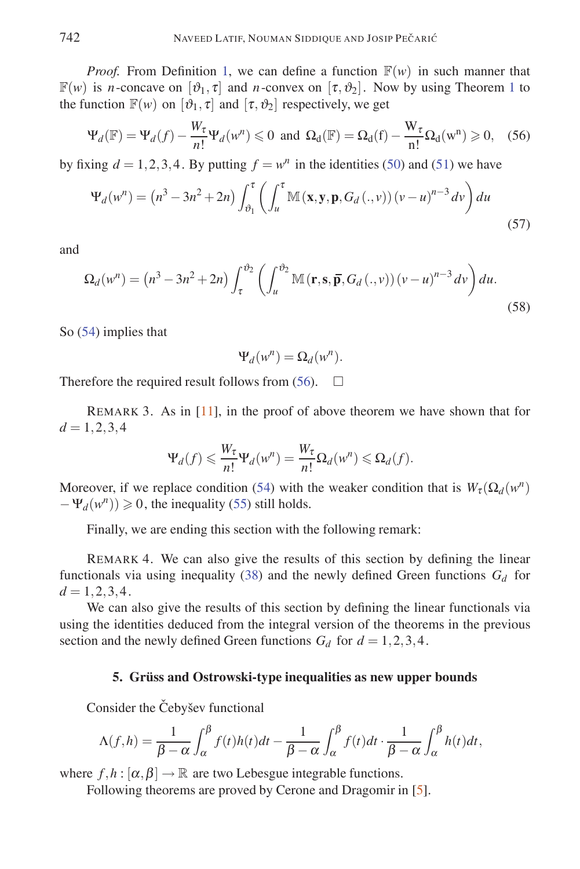*Proof.* From Definition 1, we can define a function  $\mathbb{F}(w)$  in such manner that  $\mathbb{F}(w)$  is *n*-concave on  $[\vartheta_1, \tau]$  and *n*-convex on  $[\tau, \vartheta_2]$ . Now by using Theorem 1 to the function  $\mathbb{F}(w)$  on  $[\vartheta_1, \tau]$  and  $[\tau, \vartheta_2]$  respectively, we get

$$
\Psi_d(\mathbb{F}) = \Psi_d(f) - \frac{W_\tau}{n!} \Psi_d(w^n) \leq 0 \text{ and } \Omega_d(\mathbb{F}) = \Omega_d(f) - \frac{W_\tau}{n!} \Omega_d(w^n) \geq 0, \quad (56)
$$

by fixing  $d = 1, 2, 3, 4$ . By putting  $f = w^n$  in the identities (50) and (51) we have

$$
\Psi_d(w^n) = (n^3 - 3n^2 + 2n) \int_{\vartheta_1}^{\tau} \left( \int_u^{\tau} \mathbb{M}(\mathbf{x}, \mathbf{y}, \mathbf{p}, G_d(.,\nu)) (v - u)^{n-3} dv \right) du
$$
\n(57)

and

$$
\Omega_d(w^n) = (n^3 - 3n^2 + 2n) \int_{\tau}^{\vartheta_2} \left( \int_u^{\vartheta_2} \mathbb{M}(\mathbf{r}, \mathbf{s}, \overline{\mathbf{p}}, G_d(.,\nu)) (v - u)^{n-3} dv \right) du.
$$
\n(58)

So (54) implies that

$$
\Psi_d(w^n) = \Omega_d(w^n).
$$

Therefore the required result follows from (56).  $\Box$ 

REMARK 3. As in  $[11]$ , in the proof of above theorem we have shown that for  $d = 1, 2, 3, 4$ 

$$
\Psi_d(f) \leqslant \frac{W_{\tau}}{n!} \Psi_d(w^n) = \frac{W_{\tau}}{n!} \Omega_d(w^n) \leqslant \Omega_d(f).
$$

Moreover, if we replace condition (54) with the weaker condition that is  $W_\tau(\Omega_d(w^n))$  $-\Psi_d(w^n) \ge 0$ , the inequality (55) still holds.

Finally, we are ending this section with the following remark:

REMARK 4. We can also give the results of this section by defining the linear functionals via using inequality (38) and the newly defined Green functions  $G_d$  for  $d = 1, 2, 3, 4.$ 

We can also give the results of this section by defining the linear functionals via using the identities deduced from the integral version of the theorems in the previous section and the newly defined Green functions  $G_d$  for  $d = 1, 2, 3, 4$ .

### **5. Grüss and Ostrowski-type inequalities as new upper bounds**

Consider the Čebyšev functional

$$
\Lambda(f,h) = \frac{1}{\beta - \alpha} \int_{\alpha}^{\beta} f(t)h(t)dt - \frac{1}{\beta - \alpha} \int_{\alpha}^{\beta} f(t)dt \cdot \frac{1}{\beta - \alpha} \int_{\alpha}^{\beta} h(t)dt,
$$

where  $f, h : [\alpha, \beta] \to \mathbb{R}$  are two Lebesgue integrable functions.

Following theorems are proved by Cerone and Dragomir in [5].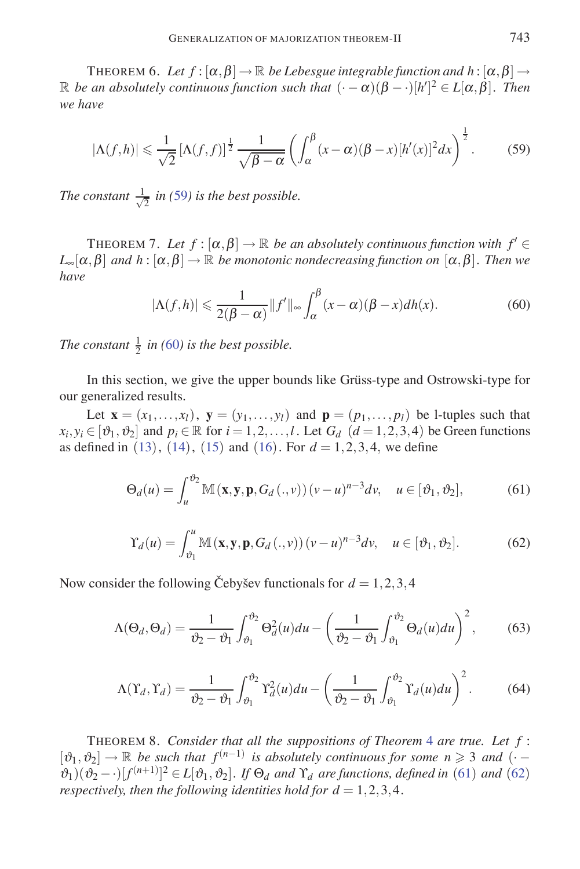THEOREM 6. Let  $f : [\alpha, \beta] \to \mathbb{R}$  be Lebesgue integrable function and  $h : [\alpha, \beta] \to$  $\mathbb R$  *be an absolutely continuous function such that*  $(\cdot - \alpha)(\beta - \cdot)[h']^2 \in L[\alpha, \beta]$ *. Then we have*

$$
|\Lambda(f,h)| \leqslant \frac{1}{\sqrt{2}} \left[\Lambda(f,f)\right]^{\frac{1}{2}} \frac{1}{\sqrt{\beta-\alpha}} \left(\int_{\alpha}^{\beta} (x-\alpha)(\beta-x)[h'(x)]^2 dx\right)^{\frac{1}{2}}.
$$
 (59)

*The constant*  $\frac{1}{\sqrt{2}}$  *in* (59*) is the best possible.* 

THEOREM 7. Let  $f : [\alpha, \beta] \to \mathbb{R}$  *be an absolutely continuous function with*  $f' \in$  $L_{\infty}[\alpha, \beta]$  *and*  $h : [\alpha, \beta] \to \mathbb{R}$  *be monotonic nondecreasing function on*  $[\alpha, \beta]$ *. Then we have*

$$
|\Lambda(f,h)| \leq \frac{1}{2(\beta - \alpha)} ||f'||_{\infty} \int_{\alpha}^{\beta} (x - \alpha)(\beta - x) dh(x).
$$
 (60)

*The constant*  $\frac{1}{2}$  *in* (60*) is the best possible.* 

In this section, we give the upper bounds like Grüss-type and Ostrowski-type for our generalized results.

Let  $\mathbf{x} = (x_1, \ldots, x_l)$ ,  $\mathbf{y} = (y_1, \ldots, y_l)$  and  $\mathbf{p} = (p_1, \ldots, p_l)$  be 1-tuples such that  $x_i, y_i \in [\vartheta_1, \vartheta_2]$  and  $p_i \in \mathbb{R}$  for  $i = 1, 2, ..., l$ . Let  $G_d$   $(d = 1, 2, 3, 4)$  be Green functions as defined in (13), (14), (15) and (16). For  $d = 1, 2, 3, 4$ , we define

$$
\Theta_d(u) = \int_u^{\vartheta_2} \mathbb{M}(\mathbf{x}, \mathbf{y}, \mathbf{p}, G_d(.,\nu)) (v - u)^{n-3} dv, \quad u \in [\vartheta_1, \vartheta_2],
$$
 (61)

$$
\Upsilon_d(u) = \int_{\vartheta_1}^u \mathbb{M}(\mathbf{x}, \mathbf{y}, \mathbf{p}, G_d(.,\nu)) (v - u)^{n-3} dv, \quad u \in [\vartheta_1, \vartheta_2].
$$
 (62)

Now consider the following Cebysev functionals for  $d = 1, 2, 3, 4$ 

$$
\Lambda(\Theta_d, \Theta_d) = \frac{1}{\vartheta_2 - \vartheta_1} \int_{\vartheta_1}^{\vartheta_2} \Theta_d^2(u) du - \left(\frac{1}{\vartheta_2 - \vartheta_1} \int_{\vartheta_1}^{\vartheta_2} \Theta_d(u) du\right)^2, \tag{63}
$$

$$
\Lambda(\Upsilon_d, \Upsilon_d) = \frac{1}{\vartheta_2 - \vartheta_1} \int_{\vartheta_1}^{\vartheta_2} \Upsilon_d^2(u) du - \left(\frac{1}{\vartheta_2 - \vartheta_1} \int_{\vartheta_1}^{\vartheta_2} \Upsilon_d(u) du\right)^2.
$$
 (64)

THEOREM 8. *Consider that all the suppositions of Theorem* 4 *are true. Let f* :  $[\vartheta_1, \vartheta_2] \rightarrow \mathbb{R}$  *be such that*  $f^{(n-1)}$  *is absolutely continuous for some*  $n \ge 3$  *and* (·  $(\partial_1)(\partial_2 - \cdot)[f^{(n+1)}]^2 \in L[\partial_1, \partial_2]$ . If  $\Theta_d$  and  $\Upsilon_d$  are functions, defined in (61) and (62) *respectively, then the following identities hold for*  $d = 1, 2, 3, 4$ *.*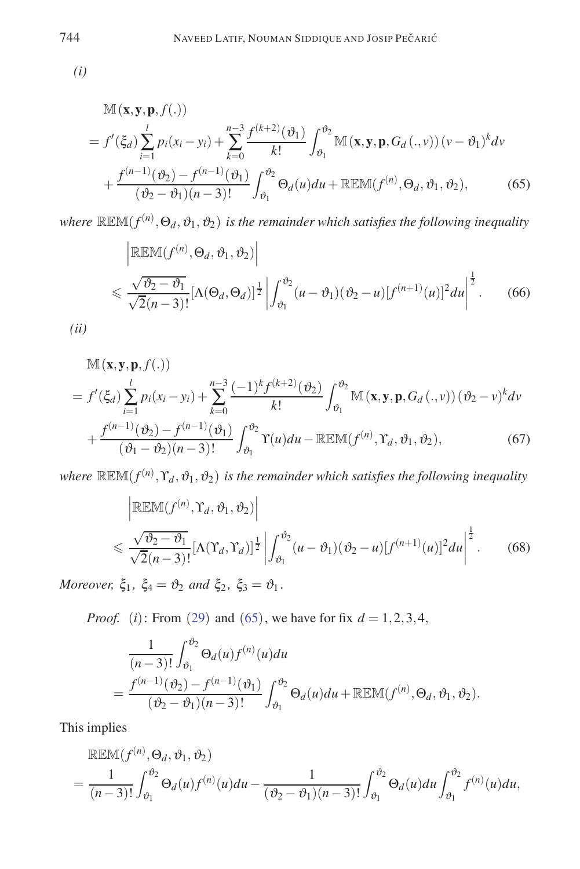*(i)*

$$
\mathbb{M}(\mathbf{x}, \mathbf{y}, \mathbf{p}, f(.))
$$
\n
$$
= f'(\xi_d) \sum_{i=1}^l p_i(x_i - y_i) + \sum_{k=0}^{n-3} \frac{f^{(k+2)}(\vartheta_1)}{k!} \int_{\vartheta_1}^{\vartheta_2} \mathbb{M}(\mathbf{x}, \mathbf{y}, \mathbf{p}, G_d(., v)) (v - \vartheta_1)^k dv
$$
\n
$$
+ \frac{f^{(n-1)}(\vartheta_2) - f^{(n-1)}(\vartheta_1)}{(\vartheta_2 - \vartheta_1)(n-3)!} \int_{\vartheta_1}^{\vartheta_2} \Theta_d(u) du + \mathbb{R} \mathbb{E} \mathbb{M}(f^{(n)}, \Theta_d, \vartheta_1, \vartheta_2), \tag{65}
$$

where  $\mathbb{REM}(f^{(n)},\Theta_d,\vartheta_1,\vartheta_2)$  is the remainder which satisfies the following inequality

$$
\left| \mathbb{REM}(f^{(n)}, \Theta_d, \vartheta_1, \vartheta_2) \right|
$$
  

$$
\leq \frac{\sqrt{\vartheta_2 - \vartheta_1}}{\sqrt{2(n-3)!}} \left[ \Lambda(\Theta_d, \Theta_d) \right]^{\frac{1}{2}} \left| \int_{\vartheta_1}^{\vartheta_2} (u - \vartheta_1)(\vartheta_2 - u) [f^{(n+1)}(u)]^2 du \right|^{\frac{1}{2}}.
$$
 (66)

*(ii)*

$$
\mathbb{M}(\mathbf{x}, \mathbf{y}, \mathbf{p}, f(.))
$$
\n
$$
= f'(\xi_d) \sum_{i=1}^l p_i(x_i - y_i) + \sum_{k=0}^{n-3} \frac{(-1)^k f^{(k+2)}(\vartheta_2)}{k!} \int_{\vartheta_1}^{\vartheta_2} \mathbb{M}(\mathbf{x}, \mathbf{y}, \mathbf{p}, G_d(., v)) (\vartheta_2 - v)^k dv
$$
\n
$$
+ \frac{f^{(n-1)}(\vartheta_2) - f^{(n-1)}(\vartheta_1)}{(\vartheta_1 - \vartheta_2)(n-3)!} \int_{\vartheta_1}^{\vartheta_2} \Upsilon(u) du - \mathbb{R} \mathbb{E} \mathbb{M}(f^{(n)}, \Upsilon_d, \vartheta_1, \vartheta_2), \tag{67}
$$

where  $\mathbb{REM}(f^{(n)}, Y_d, \vartheta_1, \vartheta_2)$  is the remainder which satisfies the following inequality

$$
\begin{aligned}\n&\left|\mathbb{R}\mathbb{E}\mathbb{M}(f^{(n)},\Upsilon_d,\vartheta_1,\vartheta_2)\right| \\
&\leq \frac{\sqrt{\vartheta_2-\vartheta_1}}{\sqrt{2(n-3)!}}\big[\Lambda(\Upsilon_d,\Upsilon_d)\big]^{\frac{1}{2}}\bigg|\int_{\vartheta_1}^{\vartheta_2} (u-\vartheta_1)(\vartheta_2-u)[f^{(n+1)}(u)]^2 du\bigg|^{\frac{1}{2}}.\n\end{aligned} \tag{68}
$$

*Moreover,*  $\xi_1$ ,  $\xi_4 = \vartheta_2$  *and*  $\xi_2$ ,  $\xi_3 = \vartheta_1$ *.* 

*Proof.* (*i*): From (29) and (65), we have for fix *d* = 1*,*2*,*3*,*4*,*

$$
\frac{1}{(n-3)!} \int_{\vartheta_1}^{\vartheta_2} \Theta_d(u) f^{(n)}(u) du
$$
  
= 
$$
\frac{f^{(n-1)}(\vartheta_2) - f^{(n-1)}(\vartheta_1)}{(\vartheta_2 - \vartheta_1)(n-3)!} \int_{\vartheta_1}^{\vartheta_2} \Theta_d(u) du + \mathbb{REM}(f^{(n)}, \Theta_d, \vartheta_1, \vartheta_2).
$$

This implies

$$
\mathbb{R}\mathbb{E}\mathbb{M}(f^{(n)},\Theta_d,\vartheta_1,\vartheta_2)
$$
  
= 
$$
\frac{1}{(n-3)!}\int_{\vartheta_1}^{\vartheta_2} \Theta_d(u)f^{(n)}(u)du - \frac{1}{(\vartheta_2-\vartheta_1)(n-3)!}\int_{\vartheta_1}^{\vartheta_2} \Theta_d(u)du \int_{\vartheta_1}^{\vartheta_2} f^{(n)}(u)du,
$$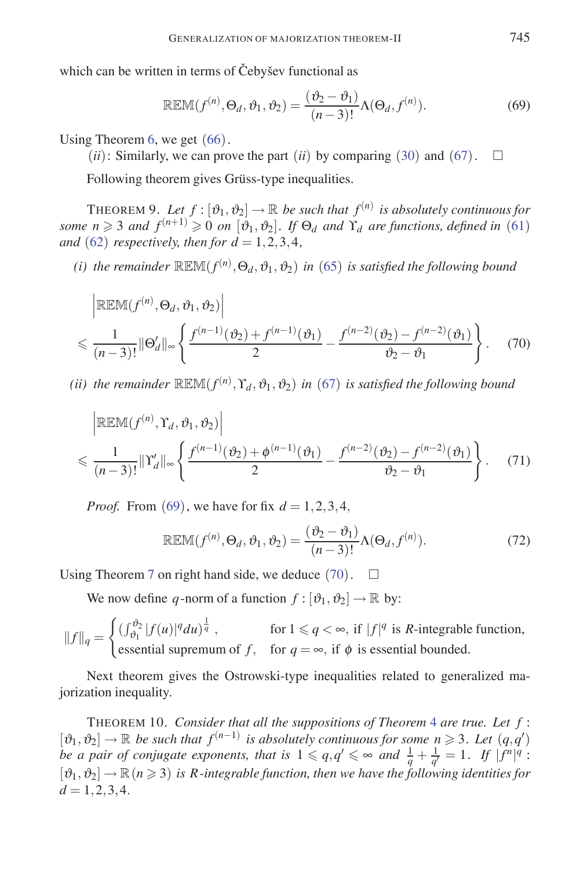which can be written in terms of Čebyšev functional as

$$
\mathbb{REM}(f^{(n)}, \Theta_d, \vartheta_1, \vartheta_2) = \frac{(\vartheta_2 - \vartheta_1)}{(n-3)!} \Lambda(\Theta_d, f^{(n)}).
$$
 (69)

Using Theorem 6, we get (66).

 $(ii)$ : Similarly, we can prove the part  $(ii)$  by comparing (30) and (67).  $\square$ 

Following theorem gives Grüss-type inequalities.

THEOREM 9. Let  $f : [\vartheta_1, \vartheta_2] \to \mathbb{R}$  be such that  $f^{(n)}$  is absolutely continuous for some  $n \geq 3$  and  $f^{(n+1)} \geq 0$  on  $[\vartheta_1, \vartheta_2]$ . If  $\Theta_d$  and  $\Upsilon_d$  are functions, defined in (61) *and* (62) *respectively, then for*  $d = 1, 2, 3, 4$ *,* 

*(i)* the remainder  $\mathbb{R}\mathbb{EM}(f^{(n)},\Theta_d,\vartheta_1,\vartheta_2)$  in (65) is satisfied the following bound

$$
\left| \mathbb{R} \mathbb{E} \mathbb{M}(f^{(n)}, \Theta_d, \vartheta_1, \vartheta_2) \right|
$$
  

$$
\leq \frac{1}{(n-3)!} \|\Theta_d'\|_{\infty} \left\{ \frac{f^{(n-1)}(\vartheta_2) + f^{(n-1)}(\vartheta_1)}{2} - \frac{f^{(n-2)}(\vartheta_2) - f^{(n-2)}(\vartheta_1)}{\vartheta_2 - \vartheta_1} \right\}.
$$
 (70)

*(ii)* the remainder  $\mathbb{R}\mathbb{EM}(f^{(n)}, Y_d, \vartheta_1, \vartheta_2)$  in (67) is satisfied the following bound

$$
\left| \mathbb{REM}(f^{(n)}, \Upsilon_d, \vartheta_1, \vartheta_2) \right|
$$
  

$$
\leq \frac{1}{(n-3)!} ||\Upsilon'_d||_{\infty} \left\{ \frac{f^{(n-1)}(\vartheta_2) + \phi^{(n-1)}(\vartheta_1)}{2} - \frac{f^{(n-2)}(\vartheta_2) - f^{(n-2)}(\vartheta_1)}{\vartheta_2 - \vartheta_1} \right\}.
$$
 (71)

*Proof.* From (69), we have for fix *d* = 1*,*2*,*3*,*4*,*

$$
\mathbb{REM}(f^{(n)}, \Theta_d, \vartheta_1, \vartheta_2) = \frac{(\vartheta_2 - \vartheta_1)}{(n-3)!} \Lambda(\Theta_d, f^{(n)}).
$$
 (72)

Using Theorem 7 on right hand side, we deduce  $(70)$ .  $\Box$ 

We now define *q*-norm of a function  $f : [\vartheta_1, \vartheta_2] \to \mathbb{R}$  by:

$$
||f||_q = \begin{cases} (\int_{\vartheta_1}^{\vartheta_2} |f(u)|^q du)^{\frac{1}{q}}, & \text{for } 1 \leq q < \infty, \text{ if } |f|^q \text{ is } R \text{-integrable function,} \\ \text{essential supremum of } f, & \text{for } q = \infty, \text{ if } \varphi \text{ is essential bounded.} \end{cases}
$$

Next theorem gives the Ostrowski-type inequalities related to generalized majorization inequality.

THEOREM 10. *Consider that all the suppositions of Theorem* 4 *are true. Let f* :  $[\vartheta_1, \vartheta_2]$  → R *be such that*  $f^{(n-1)}$  *is absolutely continuous for some*  $n \ge 3$ *. Let*  $(q, q')$ *be a pair of conjugate exponents, that is*  $1 \leqslant q, q' \leqslant \infty$  and  $\frac{1}{q} + \frac{1}{q'} = 1$ . If  $|f^n|^q$ :  $[\vartheta_1, \vartheta_2] \rightarrow \mathbb{R}$  ( $n \geq 3$ ) *is R*-integrable function, then we have the following identities for  $d = 1, 2, 3, 4.$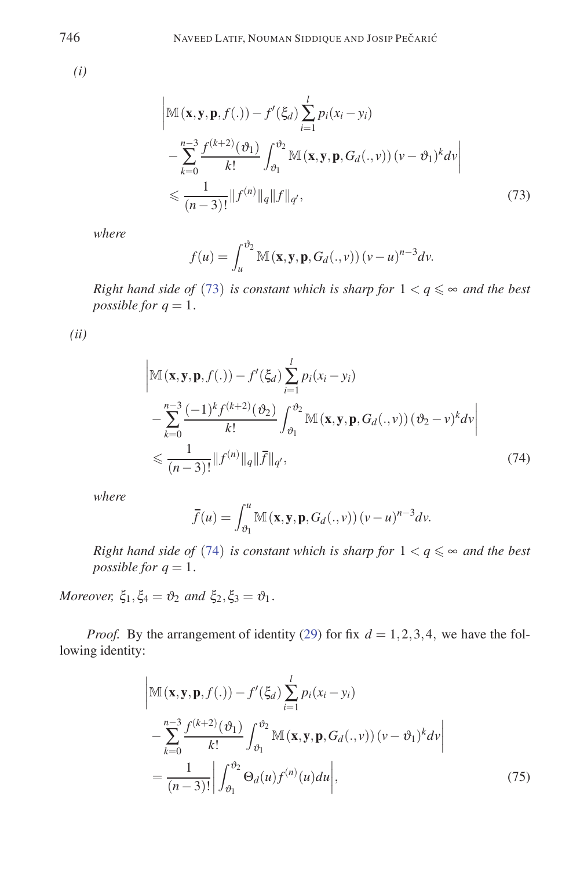*(i)*

$$
\left| \mathbb{M}(\mathbf{x}, \mathbf{y}, \mathbf{p}, f(.)) - f'(\xi_d) \sum_{i=1}^l p_i(x_i - y_i) \right|
$$
  
 
$$
- \sum_{k=0}^{n-3} \frac{f^{(k+2)}(\vartheta_1)}{k!} \int_{\vartheta_1}^{\vartheta_2} \mathbb{M}(\mathbf{x}, \mathbf{y}, \mathbf{p}, G_d(., v)) (v - \vartheta_1)^k dv \right|
$$
  

$$
\leq \frac{1}{(n-3)!} ||f^{(n)}||_q ||f||_{q'}, \qquad (73)
$$

*where*

$$
f(u) = \int_u^{\vartheta_2} \mathbb{M}(\mathbf{x}, \mathbf{y}, \mathbf{p}, G_d(., v)) (v - u)^{n-3} dv.
$$

*Right hand side of* (73) *is constant which is sharp for*  $1 < q \leq \infty$  *and the best possible for*  $q = 1$ *.* 

*(ii)*

$$
\begin{split} &\left|\mathbb{M}\left(\mathbf{x},\mathbf{y},\mathbf{p},f(.)\right)-f'(\xi_d)\sum_{i=1}^l p_i(x_i-y_i) \right. \\ &\left.-\sum_{k=0}^{n-3}\frac{(-1)^kf^{(k+2)}(\vartheta_2)}{k!}\int_{\vartheta_1}^{\vartheta_2} \mathbb{M}\left(\mathbf{x},\mathbf{y},\mathbf{p},G_d(.,\nu)\right)(\vartheta_2-\nu)^k d\nu\right| \\ &\leqslant \frac{1}{(n-3)!}\|f^{(n)}\|_q\|\overline{f}\|_{q'}, \end{split} \tag{74}
$$

*where*

$$
\overline{f}(u) = \int_{\vartheta_1}^{u} \mathbb{M}(\mathbf{x}, \mathbf{y}, \mathbf{p}, G_d(., v)) (v - u)^{n-3} dv.
$$

*Right hand side of* (74) *is constant which is sharp for*  $1 < q \leq \infty$  *and the best possible for*  $q = 1$ *.* 

*Moreover,*  $\xi_1, \xi_4 = \vartheta_2$  *and*  $\xi_2, \xi_3 = \vartheta_1$ *.* 

*Proof.* By the arrangement of identity (29) for fix  $d = 1, 2, 3, 4$ , we have the following identity:

$$
\begin{split} &\left|\mathbb{M}\left(\mathbf{x},\mathbf{y},\mathbf{p},f(.)\right)-f'(\xi_d)\sum_{i=1}^l p_i(x_i-y_i) \right. \\ &\left.-\sum_{k=0}^{n-3} \frac{f^{(k+2)}(\vartheta_1)}{k!} \int_{\vartheta_1}^{\vartheta_2} \mathbb{M}\left(\mathbf{x},\mathbf{y},\mathbf{p},G_d(.,v)\right)(v-\vartheta_1)^k dv \right| \\ &=\frac{1}{(n-3)!} \bigg| \int_{\vartheta_1}^{\vartheta_2} \Theta_d(u) f^{(n)}(u) du \bigg|, \end{split} \tag{75}
$$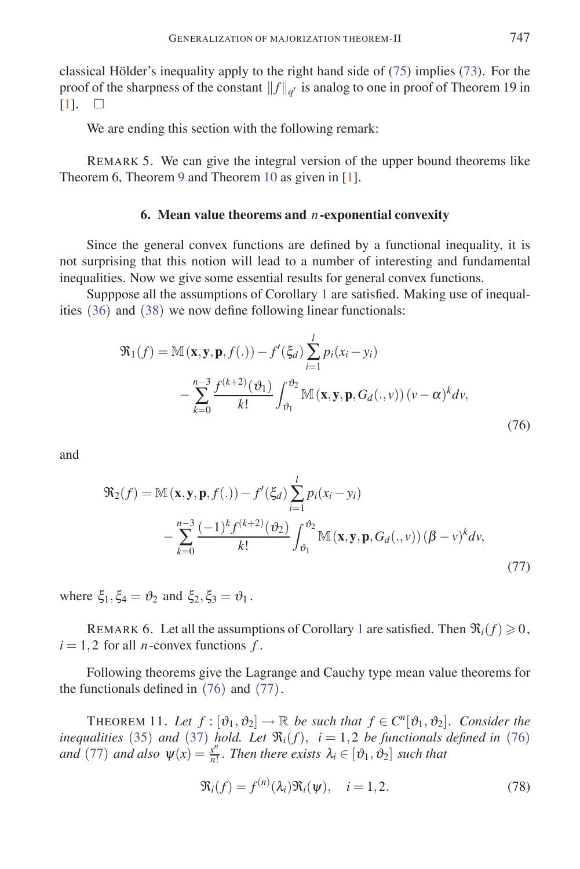classical Hölder's inequality apply to the right hand side of  $(75)$  implies  $(73)$ . For the proof of the sharpness of the constant  $||f||_{q'}$  is analog to one in proof of Theorem 19 in [1].  $\Box$ [1].

We are ending this section with the following remark:

REMARK 5. We can give the integral version of the upper bound theorems like Theorem 6, Theorem 9 and Theorem 10 as given in [1].

### **6. Mean value theorems and** *n***-exponential convexity**

Since the general convex functions are defined by a functional inequality, it is not surprising that this notion will lead to a number of interesting and fundamental inequalities. Now we give some essential results for general convex functions.

Supppose all the assumptions of Corollary 1 are satisfied. Making use of inequalities (36) and (38) we now define following linear functionals:

$$
\mathfrak{R}_1(f) = \mathbb{M}(\mathbf{x}, \mathbf{y}, \mathbf{p}, f(.)) - f'(\xi_d) \sum_{i=1}^l p_i(x_i - y_i)
$$

$$
- \sum_{k=0}^{n-3} \frac{f^{(k+2)}(\vartheta_1)}{k!} \int_{\vartheta_1}^{\vartheta_2} \mathbb{M}(\mathbf{x}, \mathbf{y}, \mathbf{p}, G_d(., v)) (v - \alpha)^k dv,
$$
(76)

and

$$
\mathfrak{R}_2(f) = \mathbb{M}(\mathbf{x}, \mathbf{y}, \mathbf{p}, f(.)) - f'(\xi_d) \sum_{i=1}^l p_i(x_i - y_i)
$$

$$
- \sum_{k=0}^{n-3} \frac{(-1)^k f^{(k+2)}(\vartheta_2)}{k!} \int_{\vartheta_1}^{\vartheta_2} \mathbb{M}(\mathbf{x}, \mathbf{y}, \mathbf{p}, G_d(., v)) (\beta - v)^k dv,
$$
\n(77)

where  $\xi_1, \xi_4 = \vartheta_2$  and  $\xi_2, \xi_3 = \vartheta_1$ .

REMARK 6. Let all the assumptions of Corollary 1 are satisfied. Then  $\Re_i(f) \geq 0$ ,  $i = 1, 2$  for all *n*-convex functions  $f$ .

Following theorems give the Lagrange and Cauchy type mean value theorems for the functionals defined in (76) and (77).

THEOREM 11. Let  $f : [\vartheta_1, \vartheta_2] \to \mathbb{R}$  be such that  $f \in C^n[\vartheta_1, \vartheta_2]$ . Consider the *inequalities* (35) *and* (37) *hold. Let*  $\Re_i(f)$ *,*  $i = 1,2$  *be functionals defined in* (76) *and* (77) *and also*  $\psi(x) = \frac{x^n}{n!}$ *. Then there exists*  $\lambda_i \in [\vartheta_1, \vartheta_2]$  *such that* 

$$
\mathfrak{R}_i(f) = f^{(n)}(\lambda_i)\mathfrak{R}_i(\psi), \quad i = 1, 2. \tag{78}
$$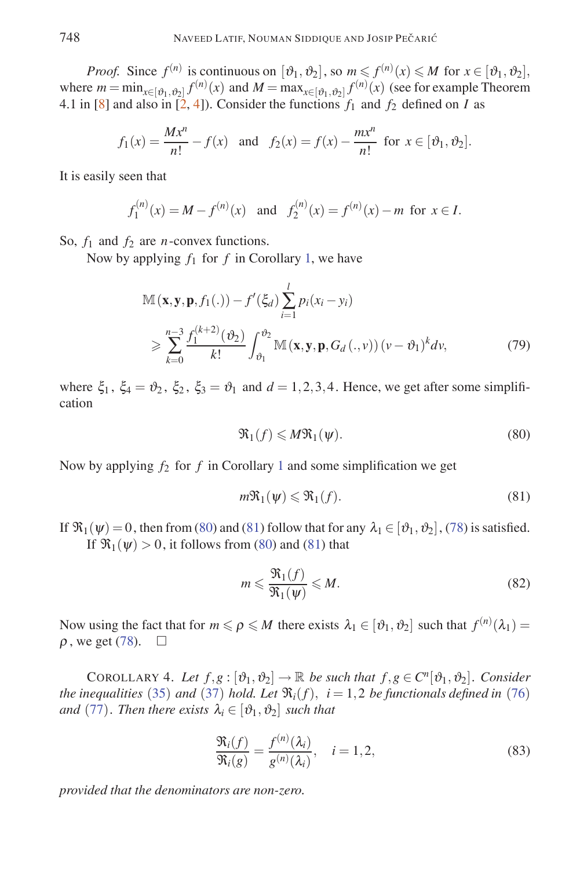*Proof.* Since  $f^{(n)}$  is continuous on  $[\vartheta_1, \vartheta_2]$ , so  $m \leq f^{(n)}(x) \leq M$  for  $x \in [\vartheta_1, \vartheta_2]$ , where  $m = \min_{x \in [\vartheta_1, \vartheta_2]} f^{(n)}(x)$  and  $M = \max_{x \in [\vartheta_1, \vartheta_2]} f^{(n)}(x)$  (see for example Theorem 4.1 in [8] and also in [2, 4]). Consider the functions  $f_1$  and  $f_2$  defined on *I* as

$$
f_1(x) = \frac{Mx^n}{n!} - f(x)
$$
 and  $f_2(x) = f(x) - \frac{mx^n}{n!}$  for  $x \in [\vartheta_1, \vartheta_2]$ .

It is easily seen that

$$
f_1^{(n)}(x) = M - f^{(n)}(x)
$$
 and  $f_2^{(n)}(x) = f^{(n)}(x) - m$  for  $x \in I$ .

So, *f*<sup>1</sup> and *f*<sup>2</sup> are *n*-convex functions.

Now by applying  $f_1$  for  $f$  in Corollary 1, we have

$$
\mathbb{M}(\mathbf{x}, \mathbf{y}, \mathbf{p}, f_1(.)) - f'(\xi_d) \sum_{i=1}^l p_i(x_i - y_i)
$$
\n
$$
\geqslant \sum_{k=0}^{n-3} \frac{f_1^{(k+2)}(\vartheta_2)}{k!} \int_{\vartheta_1}^{\vartheta_2} \mathbb{M}(\mathbf{x}, \mathbf{y}, \mathbf{p}, G_d(., v)) (v - \vartheta_1)^k dv,
$$
\n(79)

where  $\xi_1$ ,  $\xi_4 = \vartheta_2$ ,  $\xi_2$ ,  $\xi_3 = \vartheta_1$  and  $d = 1, 2, 3, 4$ . Hence, we get after some simplification

$$
\mathfrak{R}_1(f) \leqslant M\mathfrak{R}_1(\psi). \tag{80}
$$

Now by applying  $f_2$  for  $f$  in Corollary 1 and some simplification we get

$$
m\mathfrak{R}_1(\psi) \leq \mathfrak{R}_1(f). \tag{81}
$$

If  $\mathfrak{R}_1(\psi) = 0$ , then from (80) and (81) follow that for any  $\lambda_1 \in [\vartheta_1, \vartheta_2]$ , (78) is satisfied. If  $\mathfrak{R}_1(\psi) > 0$ , it follows from (80) and (81) that

$$
m \leqslant \frac{\Re_1(f)}{\Re_1(\psi)} \leqslant M. \tag{82}
$$

Now using the fact that for  $m \leq \rho \leq M$  there exists  $\lambda_1 \in [\vartheta_1, \vartheta_2]$  such that  $f^{(n)}(\lambda_1) =$  $\rho$ , we get (78).  $\Box$ 

COROLLARY 4. Let  $f, g : [\vartheta_1, \vartheta_2] \to \mathbb{R}$  be such that  $f, g \in C^n[\vartheta_1, \vartheta_2]$ . Consider *the inequalities* (35) *and* (37) *hold. Let*  $\Re_i(f)$ *,*  $i = 1, 2$  *be functionals defined in* (76) *and* (77)*. Then there exists*  $\lambda_i \in [\vartheta_1, \vartheta_2]$  *such that* 

$$
\frac{\mathfrak{R}_i(f)}{\mathfrak{R}_i(g)} = \frac{f^{(n)}(\lambda_i)}{g^{(n)}(\lambda_i)}, \quad i = 1, 2,
$$
\n(83)

*provided that the denominators are non-zero.*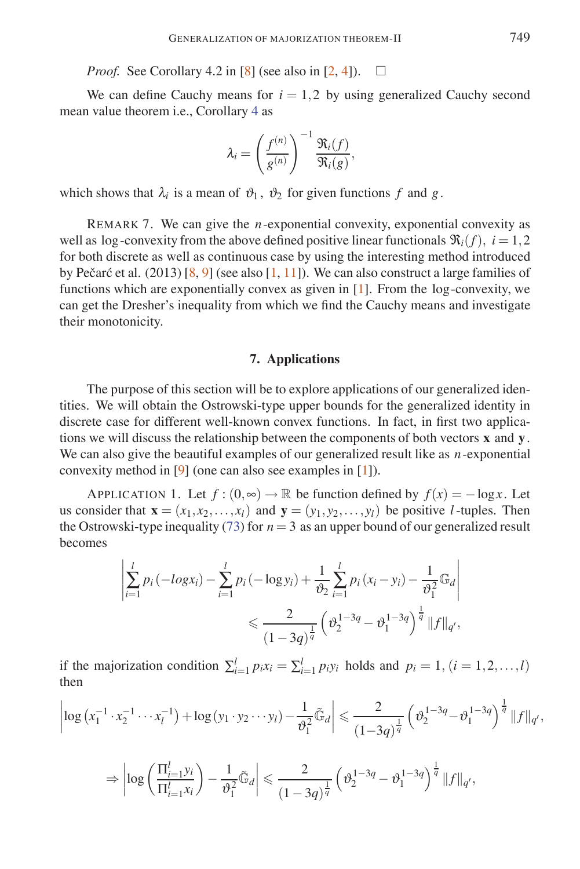*Proof.* See Corollary 4.2 in [8] (see also in [2, 4]).  $\square$ 

We can define Cauchy means for  $i = 1,2$  by using generalized Cauchy second mean value theorem i.e., Corollary 4 as

$$
\lambda_i = \left(\frac{f^{(n)}}{g^{(n)}}\right)^{-1} \frac{\mathfrak{R}_i(f)}{\mathfrak{R}_i(g)},
$$

which shows that  $\lambda_i$  is a mean of  $\vartheta_1$ ,  $\vartheta_2$  for given functions f and g.

REMARK 7. We can give the *n*-exponential convexity, exponential convexity as well as log-convexity from the above defined positive linear functionals  $\Re_i(f)$ ,  $i = 1, 2$ for both discrete as well as continuous case by using the interesting method introduced by Pečarć et al. (2013) [8, 9] (see also [1, 11]). We can also construct a large families of functions which are exponentially convex as given in [1]. From the log -convexity, we can get the Dresher's inequality from which we find the Cauchy means and investigate their monotonicity.

### **7. Applications**

The purpose of this section will be to explore applications of our generalized identities. We will obtain the Ostrowski-type upper bounds for the generalized identity in discrete case for different well-known convex functions. In fact, in first two applications we will discuss the relationship between the components of both vectors **x** and **y**. We can also give the beautiful examples of our generalized result like as *n*-exponential convexity method in [9] (one can also see examples in [1]).

APPLICATION 1. Let  $f : (0, \infty) \to \mathbb{R}$  be function defined by  $f(x) = -\log x$ . Let us consider that  $\mathbf{x} = (x_1, x_2, \dots, x_l)$  and  $\mathbf{y} = (y_1, y_2, \dots, y_l)$  be positive *l*-tuples. Then the Ostrowski-type inequality (73) for  $n = 3$  as an upper bound of our generalized result becomes

$$
\left| \sum_{i=1}^{l} p_i \left( -log x_i \right) - \sum_{i=1}^{l} p_i \left( -log y_i \right) + \frac{1}{\vartheta_2} \sum_{i=1}^{l} p_i \left( x_i - y_i \right) - \frac{1}{\vartheta_1^2} \mathbb{G}_d \right|
$$
  

$$
\leq \frac{2}{\left( 1 - 3q \right)^{\frac{1}{q}}} \left( \vartheta_2^{1 - 3q} - \vartheta_1^{1 - 3q} \right)^{\frac{1}{q}} \| f \|_{q'},
$$

if the majorization condition  $\sum_{i=1}^{l} p_i x_i = \sum_{i=1}^{l} p_i y_i$  holds and  $p_i = 1, (i = 1, 2, \ldots, l)$ then

$$
\left|\log\left(x_1^{-1}\cdot x_2^{-1}\cdots x_l^{-1}\right)+\log\left(y_1\cdot y_2\cdots y_l\right)-\frac{1}{\vartheta_1^2}\tilde{\mathbb{G}}_d\right|\leqslant\frac{2}{(1-3q)^{\frac{1}{q}}}\left(\vartheta_2^{1-3q}-\vartheta_1^{1-3q}\right)^{\frac{1}{q}}\|f\|_{q'},
$$

$$
\Rightarrow \left| \log \left( \frac{\Pi_{i=1}^l y_i}{\Pi_{i=1}^l x_i} \right) - \frac{1}{\vartheta_1^2} \tilde{\mathbb{G}}_d \right| \leq \frac{2}{(1-3q)^{\frac{1}{q}}} \left( \vartheta_2^{1-3q} - \vartheta_1^{1-3q} \right)^{\frac{1}{q}} \|f\|_{q'},
$$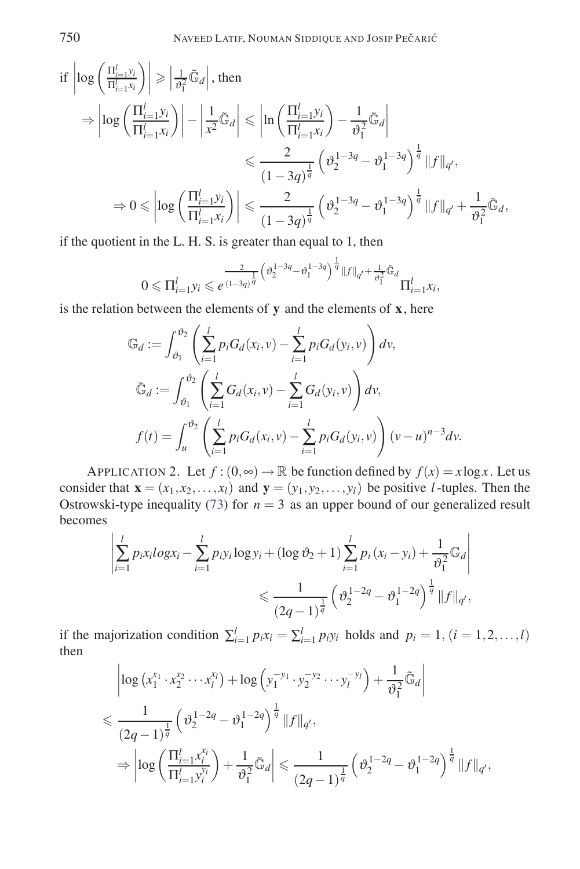$$
\begin{split}\n\text{if } \left| \log \left( \frac{\Pi_{i=1}^l y_i}{\Pi_{i=1}^l x_i} \right) \right| \geq \left| \frac{1}{\vartheta_1^2} \tilde{\mathbb{G}}_d \right|, \text{ then} \\
&\Rightarrow \left| \log \left( \frac{\Pi_{i=1}^l y_i}{\Pi_{i=1}^l x_i} \right) \right| - \left| \frac{1}{x^2} \tilde{\mathbb{G}}_d \right| \leq \left| \ln \left( \frac{\Pi_{i=1}^l y_i}{\Pi_{i=1}^l x_i} \right) - \frac{1}{\vartheta_1^2} \tilde{\mathbb{G}}_d \right| \\
&\leq \frac{2}{(1 - 3q)^{\frac{1}{q}}} \left( \vartheta_2^{1 - 3q} - \vartheta_1^{1 - 3q} \right)^{\frac{1}{q}} \|f\|_{q'}, \\
&\Rightarrow 0 \leq \left| \log \left( \frac{\Pi_{i=1}^l y_i}{\Pi_{i=1}^l x_i} \right) \right| \leq \frac{2}{(1 - 3q)^{\frac{1}{q}}} \left( \vartheta_2^{1 - 3q} - \vartheta_1^{1 - 3q} \right)^{\frac{1}{q}} \|f\|_{q'} + \frac{1}{\vartheta_1^2} \tilde{\mathbb{G}}_d,\n\end{split}
$$

if the quotient in the L. H. S. is greater than equal to 1, then

$$
0 \leqslant \Pi_{i=1}^{l} y_i \leqslant e^{\frac{2}{(1-3q)^{\frac{1}{q}}}\left(\vartheta^{1-3q}_2-\vartheta^{1-3q}_1\right)^{\frac{1}{q}}\|f\|_{q'}+\frac{1}{\vartheta^2_1}\tilde{\mathbb{G}}_d}{\Pi_{i=1}^{l} x_i},
$$

is the relation between the elements of **y** and the elements of **x**, here

$$
\mathbb{G}_d := \int_{\vartheta_1}^{\vartheta_2} \left( \sum_{i=1}^l p_i G_d(x_i, v) - \sum_{i=1}^l p_i G_d(y_i, v) \right) dv,
$$
  

$$
\tilde{\mathbb{G}}_d := \int_{\vartheta_1}^{\vartheta_2} \left( \sum_{i=1}^l G_d(x_i, v) - \sum_{i=1}^l G_d(y_i, v) \right) dv,
$$
  

$$
f(t) = \int_u^{\vartheta_2} \left( \sum_{i=1}^l p_i G_d(x_i, v) - \sum_{i=1}^l p_i G_d(y_i, v) \right) (v - u)^{n-3} dv.
$$

APPLICATION 2. Let  $f:(0, \infty) \to \mathbb{R}$  be function defined by  $f(x) = x \log x$ . Let us consider that  $\mathbf{x} = (x_1, x_2, \dots, x_l)$  and  $\mathbf{y} = (y_1, y_2, \dots, y_l)$  be positive *l*-tuples. Then the Ostrowski-type inequality (73) for  $n = 3$  as an upper bound of our generalized result becomes

$$
\left| \sum_{i=1}^{l} p_{i}x_{i} \log x_{i} - \sum_{i=1}^{l} p_{i}y_{i} \log y_{i} + (\log \vartheta_{2} + 1) \sum_{i=1}^{l} p_{i} (x_{i} - y_{i}) + \frac{1}{\vartheta_{1}^{2}} \mathbb{G}_{d} \right|
$$
  

$$
\leq \frac{1}{(2q-1)^{\frac{1}{q}}} \left( \vartheta_{2}^{1-2q} - \vartheta_{1}^{1-2q} \right)^{\frac{1}{q}} ||f||_{q'},
$$

if the majorization condition  $\sum_{i=1}^{l} p_i x_i = \sum_{i=1}^{l} p_i y_i$  holds and  $p_i = 1, (i = 1, 2, \ldots, l)$ then

$$
\begin{split} & \left| \log \left( x_1^{x_1} \cdot x_2^{x_2} \cdots x_l^{x_l} \right) + \log \left( y_1^{-y_1} \cdot y_2^{-y_2} \cdots y_l^{-y_l} \right) + \frac{1}{\vartheta_1^2} \tilde{\mathbb{G}}_d \right| \\ & \leq \frac{1}{\left( 2q - 1 \right)^{\frac{1}{q}}} \left( \vartheta_2^{1 - 2q} - \vartheta_1^{1 - 2q} \right)^{\frac{1}{q}} \| f \|_{q'}, \\ & \Rightarrow \left| \log \left( \frac{\Pi_{i=1}^l x_i^{x_i}}{\Pi_{i=1}^l y_i^{y_i}} \right) + \frac{1}{\vartheta_1^2} \tilde{\mathbb{G}}_d \right| \leq \frac{1}{\left( 2q - 1 \right)^{\frac{1}{q}}} \left( \vartheta_2^{1 - 2q} - \vartheta_1^{1 - 2q} \right)^{\frac{1}{q}} \| f \|_{q'}, \end{split}
$$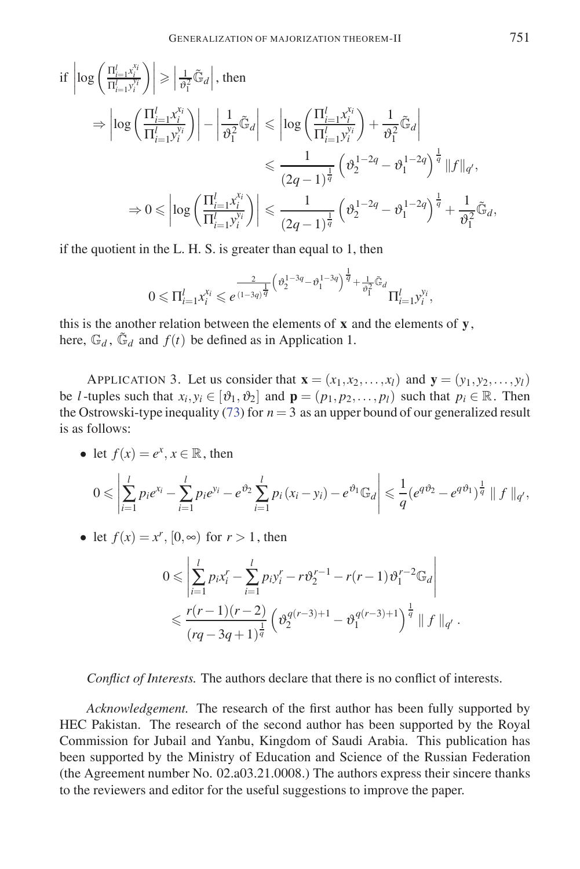$$
\begin{split} \text{if }\left|\log\left(\frac{\Pi_{i=1}^l x_i^{x_i}}{\Pi_{i=1}^l y_i^{x_i}}\right)\right| \geqslant \left|\frac{1}{\vartheta_1^2} \tilde{\mathbb{G}}_d\right|, \text{ then}\\ \Rightarrow \left|\log\left(\frac{\Pi_{i=1}^l x_i^{x_i}}{\Pi_{i=1}^l y_i^{y_i}}\right)\right| - \left|\frac{1}{\vartheta_1^2} \tilde{\mathbb{G}}_d\right| \leqslant \left|\log\left(\frac{\Pi_{i=1}^l x_i^{x_i}}{\Pi_{i=1}^l y_i^{y_i}}\right) + \frac{1}{\vartheta_1^2} \tilde{\mathbb{G}}_d\right| \\ \leqslant & \frac{1}{(2q-1)^{\frac{1}{q}}} \left(\vartheta_2^{1-2q} - \vartheta_1^{1-2q}\right)^{\frac{1}{q}} \|f\|_{q'},\\ \Rightarrow 0 \leqslant \left|\log\left(\frac{\Pi_{i=1}^l x_i^{x_i}}{\Pi_{i=1}^l y_i^{y_i}}\right)\right| \leqslant \frac{1}{(2q-1)^{\frac{1}{q}}} \left(\vartheta_2^{1-2q} - \vartheta_1^{1-2q}\right)^{\frac{1}{q}} + \frac{1}{\vartheta_1^2} \tilde{\mathbb{G}}_d, \end{split}
$$

if the quotient in the L. H. S. is greater than equal to 1, then

$$
0 \leqslant \Pi_{i=1}^{l} x_i^{x_i} \leqslant e^{\frac{2}{(1-3q)^{\frac{1}{q}}}\left(\vartheta^{1-3q}_2-\vartheta^{1-3q}_1\right)^{\frac{1}{q}}+\frac{1}{\vartheta^2_1}\tilde{\mathbb{G}}_d}\Pi_{i=1}^{l}y_i^{y_i},
$$

this is the another relation between the elements of **x** and the elements of **y**, here,  $\mathbb{G}_d$ ,  $\tilde{\mathbb{G}}_d$  and  $f(t)$  be defined as in Application 1.

APPLICATION 3. Let us consider that  $\mathbf{x} = (x_1, x_2, \dots, x_l)$  and  $\mathbf{y} = (y_1, y_2, \dots, y_l)$ be *l*-tuples such that  $x_i, y_i \in [\vartheta_1, \vartheta_2]$  and  $\mathbf{p} = (p_1, p_2, \dots, p_l)$  such that  $p_i \in \mathbb{R}$ . Then the Ostrowski-type inequality (73) for  $n = 3$  as an upper bound of our generalized result is as follows:

• let  $f(x) = e^x, x \in \mathbb{R}$ , then

$$
0 \leqslant \left| \sum_{i=1}^{l} p_i e^{x_i} - \sum_{i=1}^{l} p_i e^{y_i} - e^{\vartheta_2} \sum_{i=1}^{l} p_i (x_i - y_i) - e^{\vartheta_1} \mathbb{G}_d \right| \leqslant \frac{1}{q} \left( e^{q \vartheta_2} - e^{q \vartheta_1} \right)^{\frac{1}{q}} \| f \|_{q'},
$$

• let  $f(x) = x^r$ ,  $[0, \infty)$  for  $r > 1$ , then

$$
0 \leqslant \left| \sum_{i=1}^{l} p_i x_i^r - \sum_{i=1}^{l} p_i y_i^r - r \vartheta_2^{r-1} - r(r-1) \vartheta_1^{r-2} \mathbb{G}_d \right|
$$
  

$$
\leqslant \frac{r(r-1)(r-2)}{(rq-3q+1)^{\frac{1}{q}}} \left( \vartheta_2^{q(r-3)+1} - \vartheta_1^{q(r-3)+1} \right)^{\frac{1}{q}} \parallel f \parallel_{q'}.
$$

*Conflict of Interests.* The authors declare that there is no conflict of interests.

*Acknowledgement.* The research of the first author has been fully supported by HEC Pakistan. The research of the second author has been supported by the Royal Commission for Jubail and Yanbu, Kingdom of Saudi Arabia. This publication has been supported by the Ministry of Education and Science of the Russian Federation (the Agreement number No. 02.a03.21.0008.) The authors express their sincere thanks to the reviewers and editor for the useful suggestions to improve the paper.